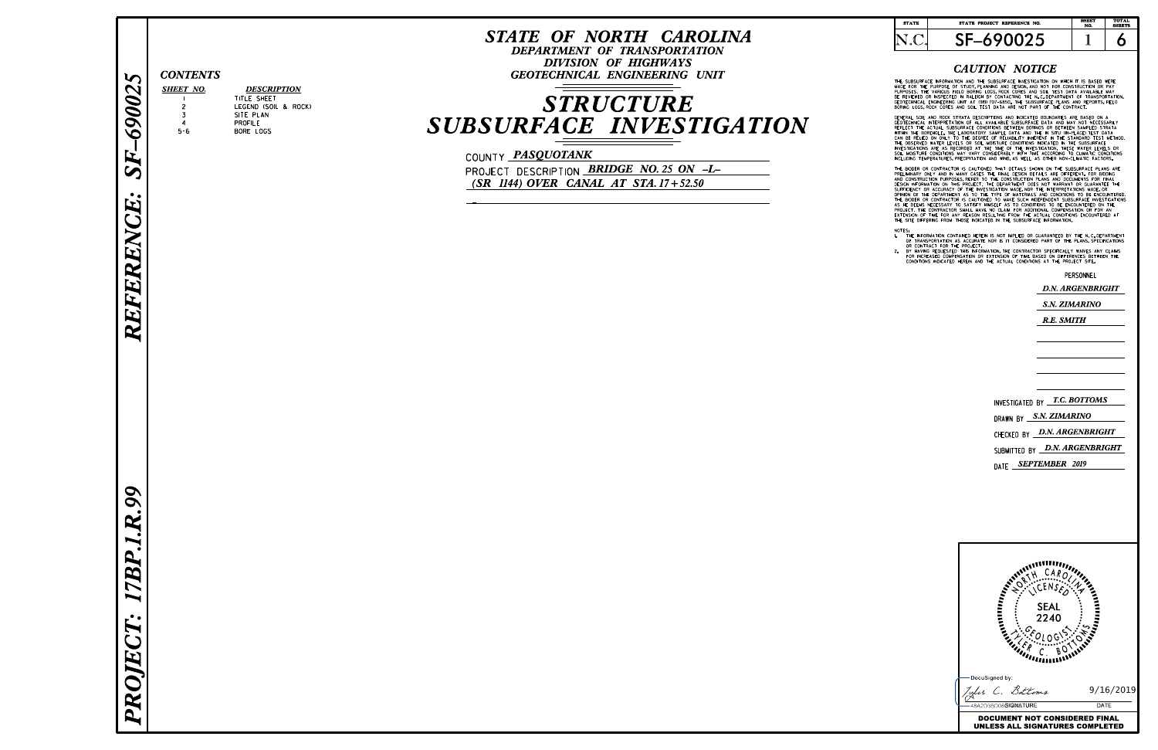R

EFER

EN

 $\mathbf{C}$ E  $\vert$  .  $\vert$ 

#### CAUTION NOTICE

THE SUBSURFALE INFORMATION AND THE SUBSURFACE INVESTIGATION ON WHICH IT IS BASED WERE<br>PURPOSES. THE PURPOSE OF STUDY,PLANNING AND DESIGN,AND NOT FOR CONSTRUCTION OR PAY<br>PURPOSES. THE VARIOUS FIELD BORING LOGS,ROCK CORES AN

GENERAL SUIL AND ROUX SIRAIA DESCRIPTIONS AND INDICATED BUDINDARIES ARE BASSO ON TECHNICAL INTERPRETATION OF ALL AVAILABLE SUBSURFACE DATA AND MAY NOT NECESSARILY<br>REFLECT THE ACTUAL SUBSURFACE CONDITIONS BETWEEN BORNGS OR

THE BIDDEN ON CONTRACTOR IS CAUTIONED THAT LOESIGN DETAILS ARE DIFFERENT. FOR BIDDING<br>ARE IMMARY ONLY AND IN MANY CASES THE FINAL DESIGN DETAILS ARE DIFFERENT. FOR BIDDING<br>CONSTRUCTION PURPOSES, REFER TO THE CONSTRUCTION P

- 
- NOTEST THE INFORMATION CONTAINED HEREIN IS NOT IMPLIED OR GUARANTEED BY THE N.C. DEPARTMENT<br>OR CONTRACT FOR THE PROJECT.<br>OR CONTRACT FOR THE PLANS, SPECIFICATIONS<br>BY CONTRACT FOR THE PROJECT.<br>BY HAVING REQUESTED THIS INFOR

# **STRUCTURE** SUBSURFACE INVESTIGATION

COUNTY *PASQUOTANK* 

# SHEET NO. 1 SF-690025

# PR O. JEC T  $\vert \cdot \vert$ 17B  $\overline{P}$  $\vert$ . .R .99

PROJECT DESCRIPTION **BRIDGE NO. 25 ON -L-**(SR 1144) OVER CANAL AT STA. 17+52.50

### STATE OF NORTH CAROLINA

DEPARTMENT OF TRANSPORTATION DIVISION OF HIGHWAYS CONTENTS GEOTECHNICAL ENGINEERING UNIT

| <b>STATE</b> | STATE PROJECT REFERENCE NO. | <b>SHEET</b><br>NO. | <b>TOTAL</b><br><b>SHEETS</b> |
|--------------|-----------------------------|---------------------|-------------------------------|
|              |                             |                     |                               |

PERSONNEL

4

#### TITLE SHEET PROFILE BORE LOGS LEGEND (SOIL & ROCK) SITE PLAN

**DESCRIPTION** 

2 3

5-6



D.N. ARGENBRIGHT

S.N. ZIMARINO

R.E. SMITH

CHECKED BY *D.N. ARGENBRIGHT* SUBMITTED BY *D.N. ARGENBRIGHT* <sub>DATE</sub> SEPTEMBER 2019 NVESTIGATED BY *I.C. BOTTOMS* DRAWN BY S.*N. ZIMARINO*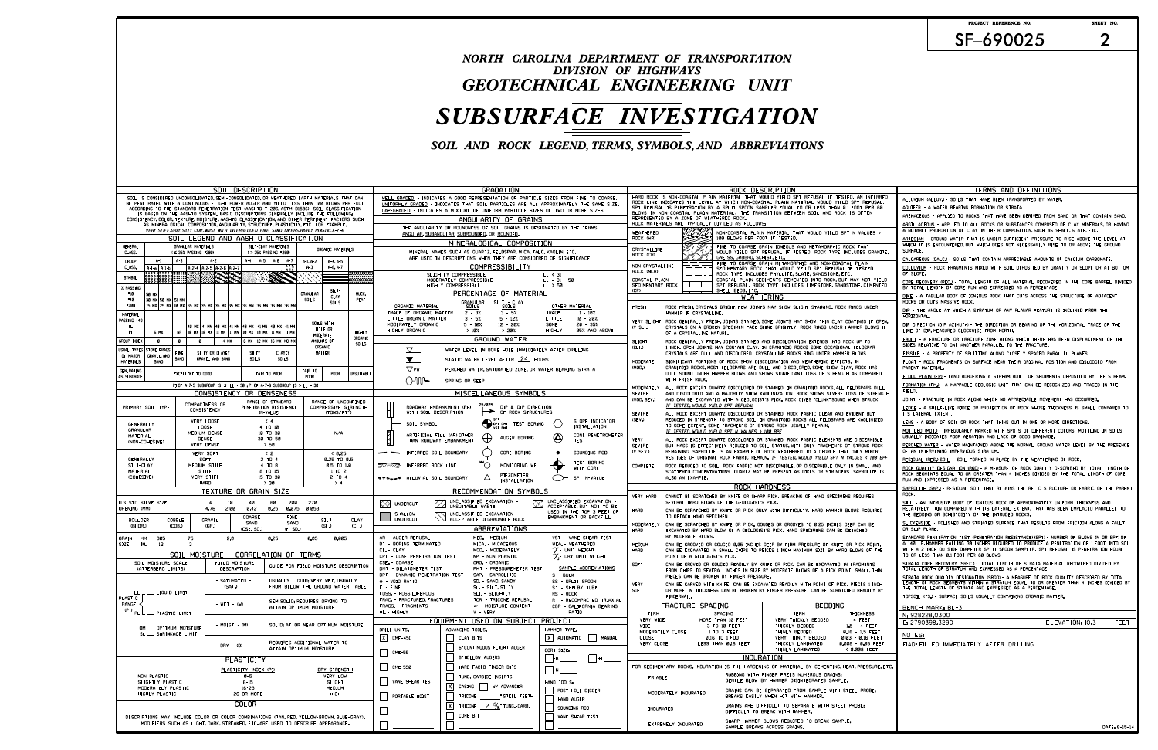# DIVISION OF HIGHWAYS GEOTECHNICAL ENGINEERING UNIT SUBSURFACE INVESTIGATION NORTH CAROLINA DEPARTMENT OF TRANSPORTATION

SOIL AND ROCK LEGEND, TERMS, SYMBOLS, AND ABBREVIATIONS

### SF-690025 PROJECT REFERENCE NO. SHEET NO.

| SOIL DESCRIPTION                                                                                                                                                                        | GRADATION                                                                                                                                    | ROCK DESCRIPTION                                                                                                                                                                                            | TERMS AND DEFINITIONS                                                                                                                                                             |
|-----------------------------------------------------------------------------------------------------------------------------------------------------------------------------------------|----------------------------------------------------------------------------------------------------------------------------------------------|-------------------------------------------------------------------------------------------------------------------------------------------------------------------------------------------------------------|-----------------------------------------------------------------------------------------------------------------------------------------------------------------------------------|
| SOIL IS CONSIDERED UNCONSOLIDATED, SEMI-CONSOLIDATED, OR WEATHERED EARTH MATERIALS THAT CAN                                                                                             | WELL GRADED - INDICATES A GOOD REPRESENTATION OF PARTICLE SIZES FROM FINE TO COARSE.                                                         | HARD ROCK IS NON-COASTAL PLAIN MATERIAL THAT WOULD YIELD SPT REFUSAL IF TESTED, AN INFERRED                                                                                                                 | ALLUVIUM (ALLUV.) - SOILS THAT HAVE BEEN TRANSPORTED BY WATER.                                                                                                                    |
| BE PENETRATED WITH A CONTINUOUS FLIGHT POWER AUGER AND YIELD LESS THAN 100 BLOWS PER FOOT<br>ACCORDING TO THE STANDARD PENETRATION TEST (AASHTO T 206, ASTM D1586), SOIL CLASSIFICATION | UNIFORMLY GRADED - INDICATES THAT SOIL PARTICLES ARE ALL APPROXIMATELY THE SAME SIZE.                                                        | ROCK LINE INDICATES THE LEVEL AT WHICH NON-COASTAL PLAIN MATERIAL WOULD YIELD SPT REFUSAL.<br>SPT REFUSAL IS PENETRATION BY A SPLIT SPOON SAMPLER EQUAL TO OR LESS THAN 0.1 FOOT PER 60                     | <u> AQUIFER</u> - A WATER BEARING FORMATION OR STRATA.                                                                                                                            |
| IS BASED ON THE AASHTO SYSTEM, BASIC DESCRIPTIONS GENERALLY INCLUDE THE FOLLOWING:                                                                                                      | GAP-GRADED - INDICATES A MIXTURE OF UNIFORM PARTICLE SIZES OF TWO OR MORE SIZES.<br>ANGULARITY OF GRAINS                                     | BLOWS IN NON-COASTAL PLAIN MATERIAL. THE TRANSITION BETWEEN SOIL AND ROCK IS OFTEN<br>REPRESENTED BY A ZONE OF WEATHERED ROCK.                                                                              | <u>ARENACEOUS</u> - APPLIED TO ROCKS THAT HAVE BEEN DERIVED FROM SAND OR THAT CONTAIN SAND.                                                                                       |
| CONSISTENCY, COLOR, TEXTURE, MOISTURE, AASHTO CLASSIFICATION, AND OTHER PERTINENT FACTORS SUCH<br>AS MINERALOGICAL COMPOSITION, ANGULARITY, STRUCTURE, PLASTICITY, ETC. FOR EXAMPLE,    | THE ANGULARITY OR ROUNDNESS OF SOIL GRAINS IS DESIGNATED BY THE TERMS:                                                                       | ROCK MATERIALS ARE TYPICALLY DIVIDED AS FOLLOWS:                                                                                                                                                            | ARGILLACEOUS - APPLIED TO ALL ROCKS OR SUBSTANCES COMPOSED OF CLAY MINERALS,OR HAVING                                                                                             |
| VERY STIFF, GRAY, SILTY CLAY, MOIST WITH INTERBEDDED FINE SAND LAYERS, HIGHLY PLASTIC, A-7-6                                                                                            | ANGULAR, SUBANGULAR, SUBROUNDED, OR ROUNDED.                                                                                                 | WEATHERED<br>NON-COASTAL PLAIN MATERIAL THAT WOULD YIELD SPT N VALUES >                                                                                                                                     | A NOTABLE PROPORTION OF CLAY IN THEIR COMPOSITION, SUCH AS SHALE, SLATE, ETC.                                                                                                     |
| SOIL LEGEND AND AASHTO CLASSIFICATION<br>GENERAL<br>GRANULAR MATERIALS<br>SILT-CLAY MATERIALS                                                                                           | MINERALOGICAL COMPOSITION                                                                                                                    | ROCK (WR)<br>100 BLOWS PER FOOT IF TESTED.<br>FINE TO COARSE GRAIN IGNEOUS AND METAMORPHIC ROCK THAT                                                                                                        | ARTESIAN - GROUND WATER THAT IS UNDER SUFFICIENT PRESSURE TO RISE ABOVE THE LEVEL AT<br>WHICH IT IS ENCOUNTERED BUT WHICH DOES NOT NECESSARILY RISE TO OR ABOVE THE GROUND        |
| ORGANIC MATERIALS<br>CLASS.<br>(≤ 35% PASSING *200)<br>( > 35% PASSING *200)                                                                                                            | MINERAL NAMES SUCH AS QUARTZ, FELDSPAR, MICA, TALC, KAOLIN, ETC.                                                                             | CRYSTALLINE<br>WOULD YIELD SPT REFUSAL IF TESTED. ROCK TYPE INCLUDES GRANITE,<br>ROCK (CR)                                                                                                                  | SURFACE.                                                                                                                                                                          |
| A-4   A-5   A-6   A-7  <br>A-1<br>  A-3  <br>A-2<br><b>GROUP</b><br>A-1, A-2<br>A-4.A-5                                                                                                 | ARE USED IN DESCRIPTIONS WHEN THEY ARE CONSIDERED OF SIGNIFICANCE.                                                                           | GNEISS, GABBRO, SCHIST, ETC.<br>FINE TO COARSE GRAIN METAMORPHIC AND NON-COASTAL PLAIN                                                                                                                      | CALCAREOUS (CALC.) - SOILS THAT CONTAIN APPRECIABLE AMOUNTS OF CALCIUM CARBONATE.                                                                                                 |
| $-2.5$<br>$A-6, A-7$<br>CLASS.<br>$A - 3$<br>A-2-4 A-2-5 A-2-6 A-2-7<br>$A-1-a$ $A-1-b$                                                                                                 | COMPRESSIBILITY                                                                                                                              | NON-CRYSTALLINE<br>SEDIMENTARY ROCK THAT WOULD YEILD SPT REFUSAL IF TESTED.<br>ROCK (NCR)<br>ROCK TYPE INCLUDES PHYLLITE, SLATE, SANDSTONE, ETC.                                                            | COLLUVIUM - ROCK FRAGMENTS MIXED WITH SOIL DEPOSITED BY GRAVITY ON SLOPE OR AT BOTTOI<br>OF SLOPE.                                                                                |
| i porta<br>SYMBOL                                                                                                                                                                       | SLIGHTLY COMPRESSIBLE<br>LL < 31<br>MODERATELY COMPRESSIBLE<br>$LL = 31 - 50$                                                                | COASTAL PLAIN SEDIMENTS CEMENTED INTO ROCK, BUT MAY NOT YIELD<br>COASTAL PLAIN                                                                                                                              | CORE RECOVERY (REC.)- TOTAL LENGTH OF ALL MATERIAL RECOVERED IN THE CORE BARREL DIVIDED                                                                                           |
| % PASSING                                                                                                                                                                               | HIGHLY COMPRESSIBLE<br>$LL$ > 50                                                                                                             | SEDIMENTARY ROCK<br>SPT REFUSAL. ROCK TYPE INCLUDES LIMESTONE, SANDSTONE, CEMENTED<br>(CP)<br>SHELL BEDS, ETC                                                                                               | BY TOTAL LENGTH OF CORE RUN AND EXPRESSED AS A PERCENTAGE.                                                                                                                        |
| - 10<br><b>GRANULAR</b><br>MUCK<br>CI AY<br>$-40$<br>SOILS<br>PEAT<br>130 MX150 MX151 MN                                                                                                | PERCENTAGE OF MATERIAL<br><b>GRANULAR</b><br>SILT - CLAY                                                                                     | WEATHERING                                                                                                                                                                                                  | <u>DIKE</u> - A TABULAR BODY OF IGNEOUS ROCK THAT CUTS ACROSS THE STRUCTURE OF ADJACENT<br>ROCKS OR CUTS MASSIVE ROCK.                                                            |
| SOILS<br>-200<br> 15 MX  25 MX  10 MX  35 MX  35 MX  35 MX  35 MX  36 MN  36 MN  36 MN  36 M                                                                                            | OTHER MATERIAL<br>ORGANIC MATERIAL<br>SOILS<br><u>SOILS</u>                                                                                  | FRESH<br>ROCK FRESH, CRYSTALS BRIGHT, FEW JOINTS MAY SHOW SLIGHT STAINING. ROCK RINGS UNDER                                                                                                                 | DIP - THE ANGLE AT WHICH A STRATUM OR ANY PLANAR FEATURE IS INCLINED FROM THE                                                                                                     |
| MATERIAL<br>PASSING *40                                                                                                                                                                 | TRACE<br>TRACE OF ORGANIC MATTER<br>$3 - 5%$<br>2 - 3%<br>$1 - 10$ %<br>LITTLE<br>LITTLE ORGANIC MATTER<br>$3 - 5%$<br>10 - 20%<br>$5 - 127$ | HAMMER IF CRYSTALLINE.                                                                                                                                                                                      | HORIZONTAL.                                                                                                                                                                       |
| SOILS WITH<br>  40 MX   41 MN   40 MX   41 MN   40 MX   41 MN   40 MX   41 MN<br>- LL<br>LITTLE OR                                                                                      | MODERATELY ORGANIC<br>$5 - 10%$<br>$12 - 20$<br>SOME<br>$20 - 35%$<br>HIGHLY ORGANIC<br>$>20$ %<br>35% AND ABOVE                             | VERY SLIGHT ROCK GENERALLY FRESH, JOINTS STAINED SOME JOINTS MAY SHOW THIN CLAY COATINGS IF OPEN<br>(V SLI.)<br>CRYSTALS ON A BROKEN SPECIMEN FACE SHINE BRIGHTLY. ROCK RINGS UNDER HAMMER BLOWS IF         | <u>DIP DIRECTION (DIP AZIMUTH)</u> - THE DIRECTION OR BEARING OF THE HORIZONTAL TRACE OF THE<br>LINE OF DIP, MEASURED CLOCKWISE FROM NORTH,                                       |
| 6 MX<br>NP   10 MX   10 MX   11 MN   11 MN   10 MX   10 MX   11 MN   11 MN<br>HIGHL Y<br>MODERATE<br>ORGANIC                                                                            | >10%<br><b>HIGHLY</b><br>GROUND WATER                                                                                                        | OF A CRYSTALLINE NATURE.                                                                                                                                                                                    | FAULT - A FRACTURE OR FRACTURE ZONE ALONG WHICH THERE HAS BEEN DISPLACEMENT OF THE                                                                                                |
| AMOUNTS OF<br>GROUP INDEX<br>4 MX<br>8 MX 12 MX 16 MX NO MX<br>- 0<br>- 0<br>SOILS<br>organic                                                                                           |                                                                                                                                              | SLIGHT<br>ROCK GENERALLY FRESH, JOINTS STAINED AND DISCOLORATION EXTENDS INTO ROCK UP TO<br>(SLI.)<br>1 INCH, OPEN JOINTS MAY CONTAIN CLAY, IN GRANITOID ROCKS SOME OCCASIONAL FELDSPAR                     | SIDES RELATIVE TO ONE ANOTHER PARALLEL TO THE FRACTURE.                                                                                                                           |
| USUAL TYPES<br>TONE FRAGS.<br>SILTY OR CLAYEY<br>CLAYEY<br>MATTER<br>OF MAJOR<br>GRAVEL, AND<br><b>SAND</b>                                                                             | $\overline{\vee}$<br>WATER LEVEL IN BORE HOLE IMMEDIATELY AFTER DRILLING                                                                     | CRYSTALS ARE DULL AND DISCOLORED, CRYSTALLINE ROCKS RING UNDER HAMMER BLOWS.                                                                                                                                | F <u>ISSILE</u> - A PROPERTY OF SPLITTING ALONG CLOSELY SPACED PARALLEL PLANES.                                                                                                   |
| GRAVEL AND SAND<br><b>SOILS</b><br>SOILS<br>MATERIALS<br>SAND                                                                                                                           | $\overline{\mathbf{y}}$<br>STATIC WATER LEVEL AFTER 24 HOURS                                                                                 | MODERATE<br>SIGNIFICANT PORTIONS OF ROCK SHOW DISCOLORATION AND WEATHERING EFFECTS. IN<br>(MOD.)<br>GRANITOID ROCKS, MOST FELDSPARS ARE DULL AND DISCOLORED, SOME SHOW CLAY, ROCK HAS                       | FLOAT - ROCK FRAGMENTS ON SURFACE NEAR THEIR ORIGINAL POSITION AND DISLODGED FROM                                                                                                 |
| <b>GEN, RATING</b><br>FAIR TO<br>EXCELLENT TO GOOD<br>FAIR TO POOR<br>POOR<br>jnsuitabl<br>AS SUBGRADE                                                                                  | $\nabla$ PV<br>PERCHED WATER, SATURATED ZONE, OR WATER BEARING STRATA                                                                        | DULL SOUND UNDER HAMMER BLOWS AND SHOWS SIGNIFICANT LOSS OF STRENGTH AS COMPARED                                                                                                                            | PARENT MATERIAL.<br>FLOOD PLAIN (FP)- LAND BORDERING A STREAM,BUILT OF SEDIMENTS DEPOSITED BY THE STREAM                                                                          |
| PI OF A-7-5 SUBGROUP IS ≤ LL - 30 ; PI OF A-7-6 SUBGROUP IS > LL - 30                                                                                                                   | ()−MN−<br>SPRING OR SEEP                                                                                                                     | WITH FRESH ROCK.                                                                                                                                                                                            | FORMATION (FM.) - A MAPPABLE GEOLOGIC UNIT THAT CAN BE RECOGNIZED AND TRACED IN THE                                                                                               |
| CONSISTENCY OR DENSENESS                                                                                                                                                                | MISCELLANEOUS SYMBOLS                                                                                                                        | MODERATELY<br>ALL ROCK EXCEPT QUARTZ DISCOLORED OR STAINED. IN GRANITOID ROCKS, ALL FELDSPARS DULL<br><b>SEVERE</b><br>AND DISCOLORED AND A MAJORITY SHOW KAOLINIZATION, ROCK SHOWS SEVERE LOSS OF STRENGTH | FIELD.                                                                                                                                                                            |
| RANGE OF STANDARD<br>RANGE OF UNCONFINED<br>COMPACTNESS OR                                                                                                                              | 25/025                                                                                                                                       | (MOD. SEV.)<br>AND CAN BE EXCAVATED WITH A GEOLOGIST'S PICK, ROCK GIVES "CLUNK" SOUND WHEN STRUCK,                                                                                                          | <u> JOINT</u> - FRACTURE IN ROCK ALONG WHICH NO APPRECIABLE MOVEMENT HAS OCCURRED.                                                                                                |
| PRIMARY SOIL TYPE<br>PENETRATION RESISTENCE<br>COMPRESSIVE STRENGTH<br>CONSISTENCY<br>(TONS/FT <sup>2</sup> )<br>(N-VALUE)                                                              | DIP & DIP DIRECTION<br>ROADWAY EMBANKMENT (RE)<br>OF ROCK STRUCTURES<br>WITH SOIL DESCRIPTION                                                | <u>IF TESTED, WOULD YIELD SPT REFUSAL</u><br><b>SEVERE</b><br>ALL ROCK EXCEPT QUARTZ DISCOLORED OR STAINED, ROCK FABRIC CLEAR AND EVIDENT BUT                                                               | LEDGE - A SHELF-LIKE RIDGE OR PROJECTION OF ROCK WHOSE THICKNESS IS SMALL COMPARED TO<br>ITS LATERAL EXTENT.                                                                      |
| VERY LOOSE<br>$\langle 4 \rangle$                                                                                                                                                       | SLOPE INDICATOR                                                                                                                              | (SEV.)<br>REDUCED IN STRENGTH TO STRONG SOIL. IN GRANITOID ROCKS ALL FELDSPARS ARE KAOLINIZED                                                                                                               | <u>LENS</u> - A BODY OF SOIL OR ROCK THAT THINS OUT IN ONE OR MORE DIRECTIONS.                                                                                                    |
| GENERALL'<br>4 TO 10<br>LOOSE<br><b>GRANULAR</b><br>10 TO 30<br>MEDIUM DENSE<br>N/A                                                                                                     | OPT DMT TEST BORING<br>SOIL SYMBOL<br>INSTALLATION                                                                                           | TO SOME EXTENT. SOME FRAGMENTS OF STRONG ROCK USUALLY REMAIN.<br>IF TESTED, WOULD YIELD SPT N VALUES > 100 BPF                                                                                              | MOTTLED (MOT.) - IRREGULARLY MARKED WITH SPOTS OF DIFFERENT COLORS. MOTTLING IN SOILS                                                                                             |
| MATERIAL<br><b>DENSE</b><br>30 TO 50<br>(NON-COHESIVE)                                                                                                                                  | ARTIFICIAL FILL (AF) OTHER<br>CONE PENETROMETER<br><br>₩<br>AUGER BORING<br>THAN ROADWAY EMBANKMENT<br><b>TEST</b>                           | <b>VERY</b><br>ALL ROCK EXCEPT QUARTZ DISCOLORED OR STAINED, ROCK FABRIC ELEMENTS ARE DISCERNIBLI                                                                                                           | USUALLY INDICATES POOR AERATION AND LACK OF GOOD DRAINAGE.                                                                                                                        |
| <b>VERY DENSE</b><br>> 50                                                                                                                                                               |                                                                                                                                              | <b>SEVERE</b><br>BUT MASS IS EFFECTIVELY REDUCED TO SOIL STATUS, WITH ONLY FRAGMENTS OF STRONG ROCK<br>REMAINING. SAPROLITE IS AN EXAMPLE OF ROCK WEATHERED TO A DEGREE THAT ONLY MINOR<br>(V SEV.)         | PERCHED WATER - WATER MAINTAINED ABOVE THE NORMAL GROUND WATER LEVEL BY THE PRESENCE<br>OF AN INTERVENING IMPERVIOUS STRATUM,                                                     |
| VERY SOFT<br>$\langle$ 2<br>← 0.25<br>0.25 TO 0.5<br>GENERALLY<br>SOF T<br>2 TO 4                                                                                                       | - - INFERRED SOIL BOUNDARY<br>CORE BORING<br>SOUNDING ROD                                                                                    | VESTIGES OF ORIGINAL ROCK FABRIC REMAIN. IF TESTED, WOULD YIELD SPT N VALUES < 100 BPF                                                                                                                      | <u>RESIDUAL (RES.)SOIL</u> - SOIL FORMED IN PLACE BY THE WEATHERING OF ROCK.                                                                                                      |
| SILT-CLAY<br>MEDIUM STIFF<br>4 TO 8<br>0.5 TO 1.0                                                                                                                                       | <b>TEST BORING</b><br><i>=111 = 111</i> ==<br>( )<br>MONITORING WELL<br>INFERRED ROCK LINE<br>WITH CORE                                      | COMPLETE<br>ROCK REDUCED TO SOIL. ROCK FABRIC NOT DISCERNIBLE, OR DISCERNIBLE ONLY IN SMALL AND                                                                                                             | ROCK QUALITY DESIGNATION (ROD)- A MEASURE OF ROCK QUALITY DESCRIBED BY TOTAL LENGTH OF                                                                                            |
| MATERIAL<br>STIFF<br>8 TO 15<br>1 TO 2<br>(COHESIVE)<br><b>VERY STIFF</b><br>15 TO 30<br>2 TO 4                                                                                         | Δ<br>▼▼▼ <sub>▼▼</sub> ▼ ALLUVIAL SOIL BOUNDARY<br>SPT N-VALUE                                                                               | SCATTERED CONCENTRATIONS, QUARTZ MAY BE PRESENT AS DIKES OR STRINGERS, SAPROLITE IS<br>ALSO AN EXAMPLE.                                                                                                     | ROCK SEGMENTS EQUAL TO OR GREATER THAN 4 INCHES DIVIDED BY THE TOTAL LENGTH OF CORE                                                                                               |
| >30<br>HARD<br>> 4                                                                                                                                                                      | INSTALLATION                                                                                                                                 | ROCK HARDNESS                                                                                                                                                                                               | RUN AND EXPRESSED AS A PERCENTAGE.<br>SAPROLITE (SAP.)- RESIDUAL SOIL THAT RETAINS THE RELIC STRUCTURE OR FABRIC OF THE PARENT                                                    |
| TEXTURE OR GRAIN SIZE                                                                                                                                                                   | RECOMMENDATION SYMBOLS                                                                                                                       | VERY HARD<br>CANNOT BE SCRATCHED BY KNIFE OR SHARP PICK. BREAKING OF HAND SPECIMENS REQUIRES                                                                                                                | ROCK.                                                                                                                                                                             |
| U.S. STD. SIEVE SIZE<br>$\sim$ 4<br>- 10<br>40<br>60<br>200<br>270                                                                                                                      | UNCLASSIFIED EXCAVATION<br><b>A UNCLASSIFIED EXCAVATION</b><br>UNCLHOUR LE WASTE<br><b>XXX</b> UNDERCUT<br>ACCEPTABLE,BUT NOT TO BE استعدا   | SEVERAL HARD BLOWS OF THE GEOLOGIST'S PICK.                                                                                                                                                                 | SILL - AN INTRUSIVE BODY OF IGNEOUS ROCK OF APPROXIMATELY UNIFORM THICKNESS AND                                                                                                   |
| OPENING (MM)<br>4.76 2.00<br>0.42<br>0.075<br>0.25<br>0.053<br>COARSE<br><b>FINE</b>                                                                                                    | USED IN THE TOP 3 FEET OF<br>UNCLASSIFIED EXCAVATION -<br>ACCEPTABLE DEGRADABLE ROCK<br>SHALLOW<br>EMBANKMENT OR BACKFILL                    | HARD<br>CAN BE SCRATCHED BY KNIFE OR PICK ONLY WITH DIFFICULTY, HARD HAMMER BLOWS REQUIRED<br>TO DETACH HAND SPECIMEN.                                                                                      | RELATIVELY THIN COMPARED WITH ITS LATERAL EXTENT, THAT HAS BEEN EMPLACED PARALLEL TO<br>THE BEDDING OR SCHISTOSITY OF THE INTRUDED ROCKS.                                         |
| CLAY<br><b>BOULDER</b><br>COBBLE<br>GRAVEL<br><b>SILT</b><br>SAND<br>SAND<br>(BLDR.)<br>CL.<br>(COB.)<br>(GR.)<br>(SL)                                                                  | UNDERCUT                                                                                                                                     | CAN BE SCRATCHED BY KNIFE OR PICK, GOUGES OR GROOVES TO 0.25 INCHES DEEP CAN BE<br>MODERATELY                                                                                                               | SLICKENSIDE - POLISHED AND STRIATED SURFACE THAT RESULTS FROM FRICTION ALONG A FAULT                                                                                              |
| (CSE, SD.)<br>(F SD.)                                                                                                                                                                   | ABBREVIATIONS                                                                                                                                | HARD<br>EXCAVATED BY HARD BLOW OF A GEOLOGIST'S PICK. HAND SPECIMENS CAN BE DETACHED                                                                                                                        | OR SLIP PLANE.                                                                                                                                                                    |
| GRAIN MM<br>2.0<br>0.005<br>305<br>75<br>0.25<br>0.05<br>SIZE IN.<br>12<br>-3                                                                                                           | AR - AUGER REFUSAL<br>MED. - MEDIUM<br>VST - VANE SHEAR TEST<br>BT - BORING TERMINATED<br>MICA. - MICACEOUS<br>WEA. - WEATHERED              | BY MODERATE BLOWS.<br>MEDIUM<br>CAN BE GROOVED OR GOUGED 0.05 INCHES DEEP BY FIRM PRESSURE OF KNIFE OR PICK POINT                                                                                           | STANDARD PENETRATION TEST (PENETRATION RESISTANCE)(SPT)- NUMBER OF BLOWS (N OR BPF)OF<br>A 140 LB, HAMMER FALLING 30 INCHES REQUIRED TO PRODUCE A PENETRATION OF 1 FOOT INTO SOIL |
|                                                                                                                                                                                         | $\gamma$ - Unit weight<br>MOD. - MODERATELY<br>CL. - CLAY                                                                                    | HARD<br>CAN BE EXCAVATED IN SMALL CHIPS TO PEICES 1 INCH MAXIMUM SIZE BY HARD BLOWS OF THE                                                                                                                  | WITH A 2 INCH OUTSIDE DIAMETER SPLIT SPOON SAMPLER. SPT REFUSAL IS PENETRATION EQUAL                                                                                              |
| SOIL MOISTURE - CORRELATION OF TERMS<br>SOIL MOISTURE SCALE<br>FIELD MOISTURE                                                                                                           | CPT - CONE PENETRATION TEST<br>NP - NON PLASTIC<br>$\gamma$ - DRY UNIT WEIGHT<br>CSE. - COARSE<br>ORG. - ORGANIC                             | POINT OF A GEOLOGIST'S PICK.                                                                                                                                                                                | TO OR LESS THAN 0.1 FOOT PER 60 BLOWS<br>STRATA CORE RECOVERY (SREC.) – TOTAL LENGTH OF STRATA MATERIAL RECOVERED DIVIDED BY                                                      |
| GUIDE FOR FIELD MOISTURE DESCRIPTION<br>DESCRIPTION<br>(ATTERBERG LIMITS)                                                                                                               | SAMPLE ABBREVIATIONS<br>DMT - DILATOMETER TEST<br>PMT - PRESSUREMETER TEST                                                                   | CAN BE GROVED OR GOUGED READILY BY KNIFE OR PICK. CAN BE EXCAVATED IN FRAGMENTS<br>SOF T<br>FROM CHIPS TO SEVERAL INCHES IN SIZE BY MODERATE BLOWS OF A PICK POINT, SMALL, THIN                             | TOTAL LENGTH OF STRATUM AND EXPRESSED AS A PERCENTAGE.                                                                                                                            |
| - SATURATED<br>USUALLY LIQUID; VERY WET, USUALLY                                                                                                                                        | DPT - DYNAMIC PENETRATION TEST<br>SAP. - SAPROLITIO<br>S - BULK<br>e - VOID RATIO<br>SD. - SAND, SANDY<br>SS - SPLIT SPOON                   | PIECES CAN BE BROKEN BY FINGER PRESSURE.                                                                                                                                                                    | STRATA ROCK QUALITY DESIGNATION (SROD) – A MEASURE OF ROCK QUALITY DESCRIBED BY TOTAL LENGTH OF ROCK SEGMENTS WITHIN A STRATUM EQUAL TO OR GREATER THAN 4 INCHES DIVIDED BY       |
| (SAT.)<br>FROM BELOW THE GROUND WATER TABLE<br>LIQUID LIMIT                                                                                                                             | $F - FINE$<br>SL. - SILT, SILTY<br>ST - SHELBY TUBE                                                                                          | VERY<br>CAN BE CARVED WITH KNIFE. CAN BE EXCAVATED READILY WITH POINT OF PICK. PIECES 1 INCH<br><b>SOFT</b><br>OR MORE IN THICKNESS CAN BE BROKEN BY FINGER PRESSURE. CAN BE SCRATCHED READILY BY           | THE TOTAL LENGTH OF STRATA AND EXPRESSED AS A PERCENTAGE.                                                                                                                         |
| PLASTIC<br>SEMISOLID; REQUIRES DRYING TO                                                                                                                                                | FOSS. - FOSSILIFEROUS<br>SLI. - SLIGHTLY<br>RS - ROCK<br>FRAC. - FRACTURED, FRACTURES<br>TCR - TRICONE REFUSAL<br>RT - RECOMPACTED TRIAXIAL  | FINGERNAIL                                                                                                                                                                                                  | TOPSOIL (TS.) - SURFACE SOILS USUALLY CONTAINING ORGANIC MATTER.                                                                                                                  |
| RANGE <<br>$WET - (W)$<br>ATTAIN OPTIMUM MOISTURE                                                                                                                                       | FRAGS. - FRAGMENTS<br>$w$ - MOISTURE CONTENT<br>CBR - CALIFORNIA BEARING                                                                     | FRACTURE SPACING<br><b>BEDDING</b>                                                                                                                                                                          | BENCH MARK: BL-3                                                                                                                                                                  |
| $\left\langle P\right\rangle$ PL $\left\lfloor \ \right\rfloor$ PLASTIC LIMIT                                                                                                           | HI. - HIGHLY<br>V - VERY<br>RATIO<br>EQUIPMENT USED ON SUBJECT PROJECT                                                                       | <b>TERM</b><br>SPACING<br><b>TERM</b><br><b>THICKNESS</b><br>VERY WIDE<br>VERY THICKLY BEDDED<br>4 FEET<br>MORE THAN 10 FEET                                                                                | N: 928228.0300                                                                                                                                                                    |
| SOLID: AT OR NEAR OPTIMUM MOISTURE<br>- MOIST - (M)<br>OM $\perp$ OPTIMUM MOISTURE                                                                                                      | DRILL UNITS:<br>ADVANCING TOOLS:<br>HAMMER TYPE:                                                                                             | WIDE<br>3 TO 10 FEET<br>THICKLY BEDDED<br>$1.5 - 4$ FEET                                                                                                                                                    | E: 2790398.3290<br>ELEVATION: 10.3<br>FEET                                                                                                                                        |
| SL L SHRINKAGE LIMIT                                                                                                                                                                    | $X$ AUTOMATIC MANUAL<br>$X$ CME-45C<br>$\vert$ $\vert$ CLAY BITS                                                                             | MODERATELY CLOSE<br>1 TO 3 FEET<br>THINLY BEDDED<br>0.16 - 1.5 FEET<br>0.03 - 0.16 FEET<br>CLOSE<br>0.16 TO 1 FOOT<br>VERY THINLY BEDDED                                                                    | NOTES:                                                                                                                                                                            |
| REQUIRES ADDITIONAL WATER TO<br>- DRY - (D)<br>ATTAIN OPTIMUM MOISTURE                                                                                                                  | 6' CONTINUOUS FLIGHT AUGER                                                                                                                   | VERY CLOSE<br>LESS THAN 0.16 FEET<br>THICKLY LAMINATED<br>0.008 - 0.03 FEET                                                                                                                                 | FIAD: FILLED IMMEDIATELY AFTER DRILLING                                                                                                                                           |
|                                                                                                                                                                                         | CORE SIZE:<br>CME-55<br>8' HOLLOW AUGERS<br>$\Box$ -B.                                                                                       | THINLY LAMINATED<br>< 0.008 FEET<br>INDURATION                                                                                                                                                              |                                                                                                                                                                                   |
| PLASTICITY                                                                                                                                                                              | $\Box$ - $\blacksquare$<br>HARD FACED FINGER BITS<br>CME-550                                                                                 | FOR SEDIMENTARY ROCKS, INDURATION IS THE HARDENING OF MATERIAL BY CEMENTING, HEAT, PRESSURE, ETC.                                                                                                           |                                                                                                                                                                                   |
| DRY STRENGTH<br>PLASTICITY INDEX (PI)<br>NON PLASTIC<br>0-5<br>VERY LOW                                                                                                                 | $\Box$ -N<br>TUNG.-CARBIDE INSERTS                                                                                                           | RUBBING WITH FINGER FREES NUMEROUS GRAINS:                                                                                                                                                                  |                                                                                                                                                                                   |
| SLIGHTLY PLASTIC<br>$6 - 15$<br>SLIGHT                                                                                                                                                  | VANE SHEAR TEST<br>HAND TOOLS:<br>$X$ CASING $\Box$ W/ ADVANCER                                                                              | FRIABLE<br>GENTLE BLOW BY HAMMER DISINTEGRATES SAMPLE.                                                                                                                                                      |                                                                                                                                                                                   |
| MODERATELY PLASTIC<br>$16 - 25$<br>MEDIUM<br>26 OR MORE<br>HIGHLY PLASTIC<br>HIGH                                                                                                       | POST HOLE DIGGER                                                                                                                             | GRAINS CAN BE SEPARATED FROM SAMPLE WITH STEEL PROBE;<br>MODERATELY INDURATED                                                                                                                               |                                                                                                                                                                                   |
| <b>COLOR</b>                                                                                                                                                                            | PORTABLE HOIST<br>TRICONE __________ STEEL TEETH<br>HAND AUGER                                                                               | BREAKS EASILY WHEN HIT WITH HAMMER.                                                                                                                                                                         |                                                                                                                                                                                   |
|                                                                                                                                                                                         | $X$ TRICONE $2^{15}/6$ TUNG.-CARB.<br>SOUNDING ROD                                                                                           | GRAINS ARE DIFFICULT TO SEPARATE WITH STEEL PROBE;<br>INDURATED<br>DIFFICULT TO BREAK WITH HAMMER.                                                                                                          |                                                                                                                                                                                   |
| DESCRIPTIONS MAY INCLUDE COLOR OR COLOR COMBINATIONS (TAN, RED, YELLOW-BROWN, BLUE-GRAY).<br>MODIFIERS SUCH AS LIGHT, DARK, STREAKED, ETC. ARE USED TO DESCRIBE APPEARANCE.             | CORE BIT<br>VANE SHEAR TEST                                                                                                                  | SHARP HAMMER BLOWS REQUIRED TO BREAK SAMPLE:<br>EXTREMELY INDURATED                                                                                                                                         |                                                                                                                                                                                   |
|                                                                                                                                                                                         |                                                                                                                                              | SAMPLE BREAKS ACROSS GRAINS.                                                                                                                                                                                | DATE: 8-15-14                                                                                                                                                                     |

| ALLUV.)- SOILS THAT HAVE BEEN TRANSPORTED BY                                                  |
|-----------------------------------------------------------------------------------------------|
| A WATER BEARING FORMATION OR STRATA.                                                          |
| S - APPLIED TO ROCKS THAT HAVE BEEN DERIVED FI                                                |
| US - APPLIED TO ALL ROCKS OR SUBSTANCES COMP<br>PROPORTION OF CLAY IN THEIR COMPOSITION SUCH  |
| GROUND WATER THAT IS UNDER SUFFICIENT PRESSU<br>S ENCOUNTERED, BUT WHICH DOES NOT NECESSARILY |
| GALC.) - SOILS THAT CONTAIN APPRECIABLE AMOU                                                  |
| - ROCK FRAGMENTS MIXED WITH SOIL DEPOSITED BY                                                 |
| /ERY (REC.)- TOTAL LENGTH OF ALL MATERIAL RECO<br>ENGTH OF CORE RUN AND EXPRESSED AS A PERCEN |
| ABULAR BODY OF IGNEOUS ROCK THAT CUTS ACROSS<br>CUTS MASSIVE ROCK.                            |
| ANGLE AT WHICH A STRATIIM OR ANY PLANAR FEATL                                                 |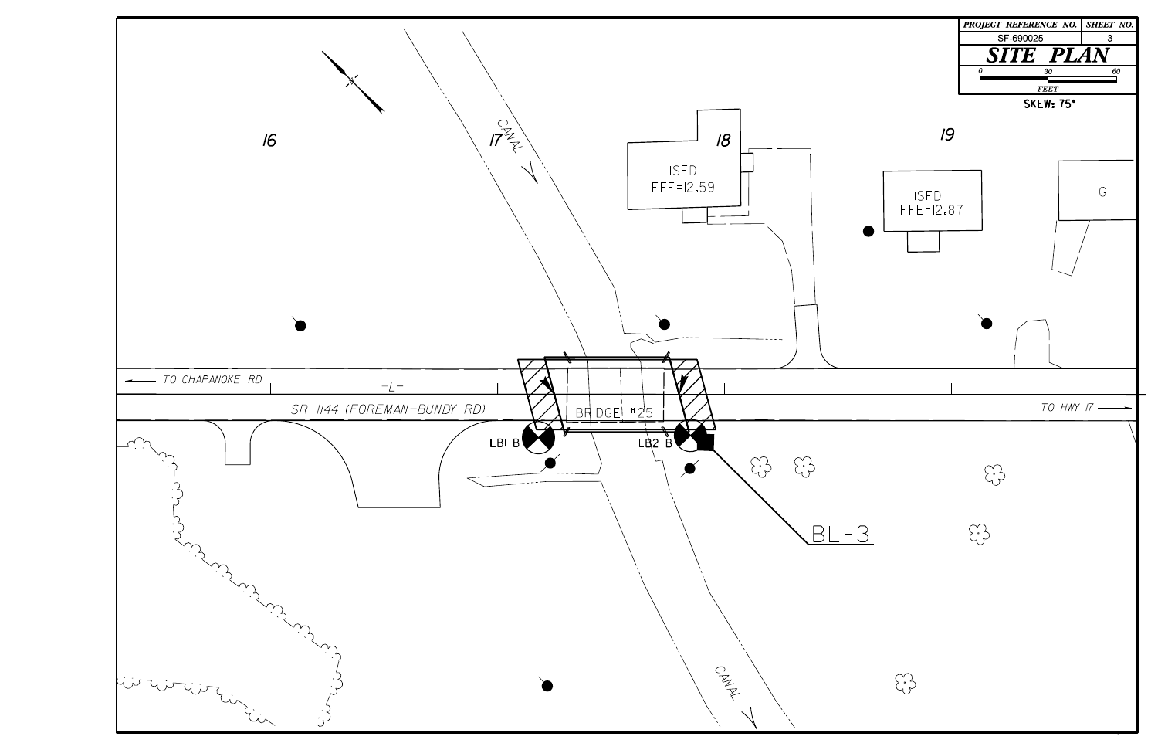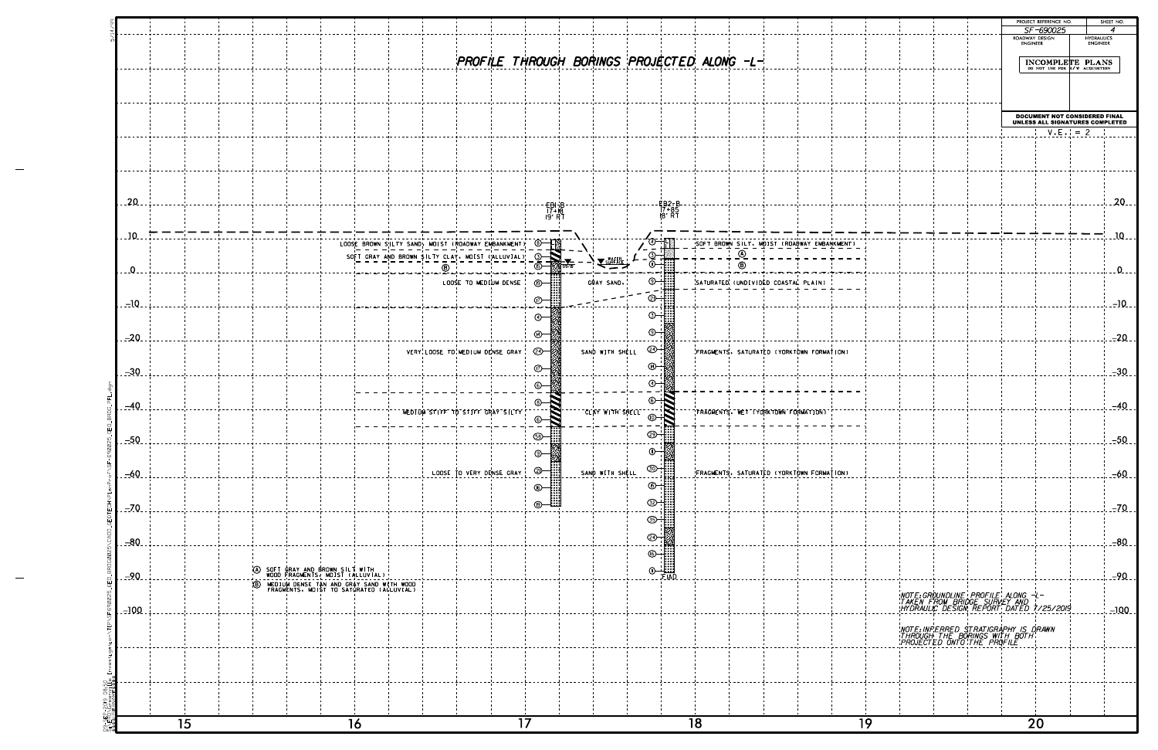|              |    |                                                                                                              |  |                 | PROJECT REFERENCE NO.                                            |                   | SHEET NO. |
|--------------|----|--------------------------------------------------------------------------------------------------------------|--|-----------------|------------------------------------------------------------------|-------------------|-----------|
|              |    |                                                                                                              |  | ROADWAY DESIGN  | SF-690025                                                        | <b>HYDRAULICS</b> | 4         |
|              |    |                                                                                                              |  | <b>ENGINEER</b> |                                                                  | <b>ENGINEER</b>   |           |
|              |    |                                                                                                              |  |                 | INCOMPLETE PLANS<br>DO NOT USE FOR R/W ACQUISITION               |                   |           |
|              |    |                                                                                                              |  |                 |                                                                  |                   |           |
|              |    |                                                                                                              |  |                 |                                                                  |                   |           |
|              |    |                                                                                                              |  |                 |                                                                  |                   |           |
|              |    |                                                                                                              |  |                 | DOCUMENT NOT CONSIDERED FINAL<br>UNLESS ALL SIGNATURES COMPLETED |                   |           |
|              |    |                                                                                                              |  |                 |                                                                  | $V.E.$ = 2        |           |
|              |    |                                                                                                              |  |                 |                                                                  |                   |           |
|              |    |                                                                                                              |  |                 |                                                                  |                   |           |
|              |    |                                                                                                              |  |                 |                                                                  |                   |           |
|              |    |                                                                                                              |  |                 |                                                                  |                   |           |
|              |    |                                                                                                              |  |                 |                                                                  |                   | $20 - -$  |
|              |    |                                                                                                              |  |                 |                                                                  |                   |           |
|              |    |                                                                                                              |  |                 |                                                                  |                   | $10 -$    |
| <b>MENT)</b> |    |                                                                                                              |  |                 |                                                                  |                   |           |
|              |    |                                                                                                              |  |                 |                                                                  |                   | $0 - -$   |
|              |    |                                                                                                              |  |                 |                                                                  |                   |           |
|              |    |                                                                                                              |  |                 |                                                                  |                   |           |
|              |    |                                                                                                              |  |                 |                                                                  |                   | $-10$     |
|              |    |                                                                                                              |  |                 |                                                                  |                   |           |
|              |    |                                                                                                              |  |                 |                                                                  |                   | $-20$ .   |
| ON)          |    |                                                                                                              |  |                 |                                                                  |                   |           |
|              |    |                                                                                                              |  |                 |                                                                  |                   | $-30$     |
|              |    |                                                                                                              |  |                 |                                                                  |                   |           |
|              |    |                                                                                                              |  |                 |                                                                  |                   |           |
|              |    |                                                                                                              |  |                 |                                                                  |                   | $-40$ .   |
|              |    |                                                                                                              |  |                 |                                                                  |                   |           |
|              |    |                                                                                                              |  |                 |                                                                  |                   | $-50$ .   |
|              |    |                                                                                                              |  |                 |                                                                  |                   |           |
| ( ON         |    |                                                                                                              |  |                 |                                                                  |                   | $-60$     |
|              |    |                                                                                                              |  |                 |                                                                  |                   |           |
|              |    |                                                                                                              |  |                 |                                                                  |                   |           |
|              |    |                                                                                                              |  |                 |                                                                  |                   | $-70$     |
|              |    |                                                                                                              |  |                 |                                                                  |                   |           |
|              |    |                                                                                                              |  |                 |                                                                  |                   | $-80$     |
|              |    |                                                                                                              |  |                 |                                                                  |                   |           |
|              |    |                                                                                                              |  |                 |                                                                  |                   | $-90$     |
|              |    |                                                                                                              |  |                 |                                                                  |                   |           |
|              |    | NOTE:GROUNDLINE PROFILE ALONG -L-<br>TAKEN FROM BRIDGE SURVEY AND<br>HYDRAULIC DESIGN REPORT DATED 7/25/2019 |  |                 |                                                                  |                   |           |
|              |    |                                                                                                              |  |                 |                                                                  |                   | $-100$    |
|              |    | NOTE INFERRED STRATIGRAPHY IS DRAWN<br>THROUGH THE BORINGS WITH BOTH<br>PROJECTED ONTO THE PROFILE           |  |                 |                                                                  |                   |           |
|              |    |                                                                                                              |  |                 |                                                                  |                   |           |
|              |    |                                                                                                              |  |                 |                                                                  |                   |           |
|              |    |                                                                                                              |  |                 |                                                                  |                   |           |
|              |    |                                                                                                              |  |                 |                                                                  |                   |           |
|              |    |                                                                                                              |  |                 |                                                                  |                   |           |
|              | 19 |                                                                                                              |  |                 | $\overline{2}0$                                                  |                   |           |
|              |    |                                                                                                              |  |                 |                                                                  |                   |           |

|              |    |                                                                                             |                                                      |                          |                          |                 |                                                                                                                                                                                                                                                                                                                               |    |                                             |    |  |                                                                                                              | PROJECT REFERENCE NO.<br>SF-690025 | SHEET NO.<br>$\overline{\boldsymbol{A}}$                                |                |
|--------------|----|---------------------------------------------------------------------------------------------|------------------------------------------------------|--------------------------|--------------------------|-----------------|-------------------------------------------------------------------------------------------------------------------------------------------------------------------------------------------------------------------------------------------------------------------------------------------------------------------------------|----|---------------------------------------------|----|--|--------------------------------------------------------------------------------------------------------------|------------------------------------|-------------------------------------------------------------------------|----------------|
|              |    |                                                                                             |                                                      |                          |                          |                 |                                                                                                                                                                                                                                                                                                                               |    |                                             |    |  |                                                                                                              | ROADWAY DESIGN<br>ENGINEER         | HYDRAULICS<br>ENGINEER                                                  |                |
|              |    |                                                                                             |                                                      |                          |                          |                 |                                                                                                                                                                                                                                                                                                                               |    | PROFILE THROUGH BORINGS PROJECTED ALONG -L- |    |  |                                                                                                              |                                    | INCOMPLETE PLANS                                                        |                |
|              |    |                                                                                             |                                                      |                          |                          |                 |                                                                                                                                                                                                                                                                                                                               |    |                                             |    |  |                                                                                                              |                                    |                                                                         |                |
|              |    |                                                                                             |                                                      |                          |                          |                 |                                                                                                                                                                                                                                                                                                                               |    |                                             |    |  |                                                                                                              |                                    |                                                                         |                |
|              |    |                                                                                             |                                                      |                          |                          |                 |                                                                                                                                                                                                                                                                                                                               |    |                                             |    |  |                                                                                                              |                                    | <b>DOCUMENT NOT CONSIDERED FINAL</b><br>UNLESS ALL SIGNATURES COMPLETEI |                |
|              |    |                                                                                             |                                                      |                          |                          |                 |                                                                                                                                                                                                                                                                                                                               |    |                                             |    |  |                                                                                                              | $V.E. = 2$                         |                                                                         |                |
|              |    |                                                                                             |                                                      |                          |                          |                 |                                                                                                                                                                                                                                                                                                                               |    |                                             |    |  |                                                                                                              |                                    |                                                                         |                |
|              |    |                                                                                             |                                                      |                          |                          |                 |                                                                                                                                                                                                                                                                                                                               |    |                                             |    |  |                                                                                                              |                                    |                                                                         |                |
| $-20$        |    |                                                                                             |                                                      |                          | - <del>EB</del> I-B-     |                 | EB2-B<br>17+85<br>18′RT                                                                                                                                                                                                                                                                                                       |    |                                             |    |  |                                                                                                              |                                    |                                                                         | 20             |
|              |    |                                                                                             |                                                      |                          | 17+18<br>P' RT           |                 |                                                                                                                                                                                                                                                                                                                               |    |                                             |    |  |                                                                                                              |                                    |                                                                         |                |
| $10-$        |    |                                                                                             | LOOSE BROWN SILTY SAND, MOIST (ROADWAY EMBANKMENT) © |                          |                          |                 |                                                                                                                                                                                                                                                                                                                               |    | SOFT BROWN SILT. MOIST (ROADWAY EMBANKMENT) |    |  |                                                                                                              |                                    |                                                                         | $10-$          |
|              |    |                                                                                             | SOFT GRAY AND BROWN SILTY CLAY. MOIST ('ALLUVIAL) 3- |                          |                          |                 |                                                                                                                                                                                                                                                                                                                               |    | $\overline{\circ}$<br>◉                     |    |  |                                                                                                              |                                    |                                                                         |                |
| $\Omega$ .   |    |                                                                                             | $\bar{\circ}$                                        | LOOSE TO MEDIUM DENSE    | ட—் ∷                    | GRAY SAND.      | $\odot$ $\ddot{}$ $\ddot{}$ $\ddot{}$ $\ddot{}$ $\ddot{}$ $\ddot{}$ $\ddot{}$ $\ddot{}$ $\ddot{}$ $\ddot{}$ $\ddot{}$ $\ddot{}$ $\ddot{}$ $\ddot{}$ $\ddot{}$ $\ddot{}$ $\ddot{}$ $\ddot{}$ $\ddot{}$ $\ddot{}$ $\ddot{}$ $\ddot{}$ $\ddot{}$ $\ddot{}$ $\ddot{}$ $\ddot{}$ $\ddot{}$ $\ddot{}$ $\ddot{}$ $\ddot{}$ $\ddot{}$ |    | SATURATED (UNDIVIDED COASTAL PLAIN)         |    |  |                                                                                                              |                                    |                                                                         | $\Omega$       |
| $-10$        |    |                                                                                             |                                                      |                          | ന—∷                      |                 | O ::::                                                                                                                                                                                                                                                                                                                        |    |                                             |    |  |                                                                                                              |                                    |                                                                         | $-10$          |
|              |    |                                                                                             |                                                      |                          | ⊛—∦                      |                 | ල—                                                                                                                                                                                                                                                                                                                            |    |                                             |    |  |                                                                                                              |                                    |                                                                         |                |
| $-20$        |    |                                                                                             |                                                      |                          | ⊛—‼                      |                 | ⊕∸                                                                                                                                                                                                                                                                                                                            |    |                                             |    |  |                                                                                                              |                                    |                                                                         | $-20$          |
|              |    |                                                                                             | VERY LOOSE TO MEDIUM DENSE GRAY                      |                          | @—∦                      | SAND WITH SHELL | @⊣                                                                                                                                                                                                                                                                                                                            |    | FRAGMENTS. SATURATED (YORKTOWN FORMATION)   |    |  |                                                                                                              |                                    |                                                                         |                |
| $-30$        |    |                                                                                             |                                                      |                          | ⊙—‼                      |                 | $\circledcirc$                                                                                                                                                                                                                                                                                                                |    |                                             |    |  |                                                                                                              |                                    |                                                                         | $-30$          |
|              |    |                                                                                             |                                                      |                          | ⊛—‼                      |                 | ⊛⊹                                                                                                                                                                                                                                                                                                                            |    |                                             |    |  |                                                                                                              |                                    |                                                                         |                |
| $-40$        |    |                                                                                             | NEDION STIFF TO STIFF GRAY SILTY                     |                          |                          | $\overline{C}$  |                                                                                                                                                                                                                                                                                                                               |    | <b>FRAGMENTS. WET (YORKTOWN FORMATION)</b>  |    |  |                                                                                                              |                                    |                                                                         | $-40$          |
|              |    |                                                                                             |                                                      |                          | 68 - 111                 |                 | - - ::::                                                                                                                                                                                                                                                                                                                      |    |                                             |    |  |                                                                                                              |                                    |                                                                         |                |
| <u>- 50.</u> |    |                                                                                             |                                                      |                          | H<br>⊚—⊯                 |                 | ⊕⊣                                                                                                                                                                                                                                                                                                                            |    |                                             |    |  |                                                                                                              |                                    |                                                                         | <u>. --50 </u> |
| $-60$        |    |                                                                                             |                                                      | LOOSE TO VERY DENSE GRAY | $\circledcirc$ $\bullet$ | SAND WITH SHELL | <b><sup>30 - 1::::</sup></b>                                                                                                                                                                                                                                                                                                  |    | FRAGMENTS. SATURATED (YORKTOWN FORMATION)   |    |  |                                                                                                              |                                    |                                                                         | $-60$          |
|              |    |                                                                                             |                                                      |                          | $\odot$ $\ddot{}$        |                 | $\circ$ $\bullet$                                                                                                                                                                                                                                                                                                             |    |                                             |    |  |                                                                                                              |                                    |                                                                         |                |
| $-70$        |    |                                                                                             |                                                      |                          | <u> ④—……</u>             |                 | ඐ                                                                                                                                                                                                                                                                                                                             |    |                                             |    |  |                                                                                                              |                                    |                                                                         | $-70$          |
|              |    |                                                                                             |                                                      |                          |                          |                 | <u> ග</u> ැ                                                                                                                                                                                                                                                                                                                   |    |                                             |    |  |                                                                                                              |                                    |                                                                         |                |
| $-80$        |    |                                                                                             |                                                      |                          |                          |                 | ☜                                                                                                                                                                                                                                                                                                                             |    |                                             |    |  |                                                                                                              |                                    |                                                                         | $-80$          |
|              |    | A SOFT GRAY AND BROWN SILT WITH WOOD FRAGMENTS, MOIST (ALLUVIAL)                            |                                                      |                          |                          |                 |                                                                                                                                                                                                                                                                                                                               |    |                                             |    |  |                                                                                                              |                                    |                                                                         |                |
| $-90$        |    | MEDIUM DENSE TAN AND GRAY SAND WITH WOOD<br>FRAGMENTS, MOIST TO SATURATED (ALLUVIAL)<br>(B) |                                                      |                          |                          |                 |                                                                                                                                                                                                                                                                                                                               |    |                                             |    |  |                                                                                                              |                                    |                                                                         | $-90$          |
| $-100$       |    |                                                                                             |                                                      |                          |                          |                 |                                                                                                                                                                                                                                                                                                                               |    |                                             |    |  | NOTE:GROUNDLINE PROFILE ALONG -L-<br>TAKEN FROM BRIDGE SURVEY AND<br>HYDRAULIC DESIGN REPORT DATED 7/25/2019 |                                    |                                                                         | $-100$         |
|              |    |                                                                                             |                                                      |                          |                          |                 |                                                                                                                                                                                                                                                                                                                               |    |                                             |    |  |                                                                                                              |                                    |                                                                         |                |
|              |    |                                                                                             |                                                      |                          |                          |                 |                                                                                                                                                                                                                                                                                                                               |    |                                             |    |  | NOTE:INFERRED STRATIGRAPHY IS DRAWN<br>THROUGH THE BORINGS WITH BOTH:<br>PROJECTED ONTO THE PROFILE          |                                    |                                                                         |                |
|              |    |                                                                                             |                                                      |                          |                          |                 |                                                                                                                                                                                                                                                                                                                               |    |                                             |    |  |                                                                                                              |                                    |                                                                         |                |
|              |    |                                                                                             |                                                      |                          |                          |                 |                                                                                                                                                                                                                                                                                                                               |    |                                             |    |  |                                                                                                              |                                    |                                                                         |                |
|              |    |                                                                                             |                                                      |                          |                          |                 |                                                                                                                                                                                                                                                                                                                               |    |                                             |    |  |                                                                                                              |                                    |                                                                         |                |
|              | 15 |                                                                                             | 16                                                   |                          | $\overline{17}$          |                 |                                                                                                                                                                                                                                                                                                                               | 18 |                                             | 19 |  |                                                                                                              | $\overline{20}$                    |                                                                         |                |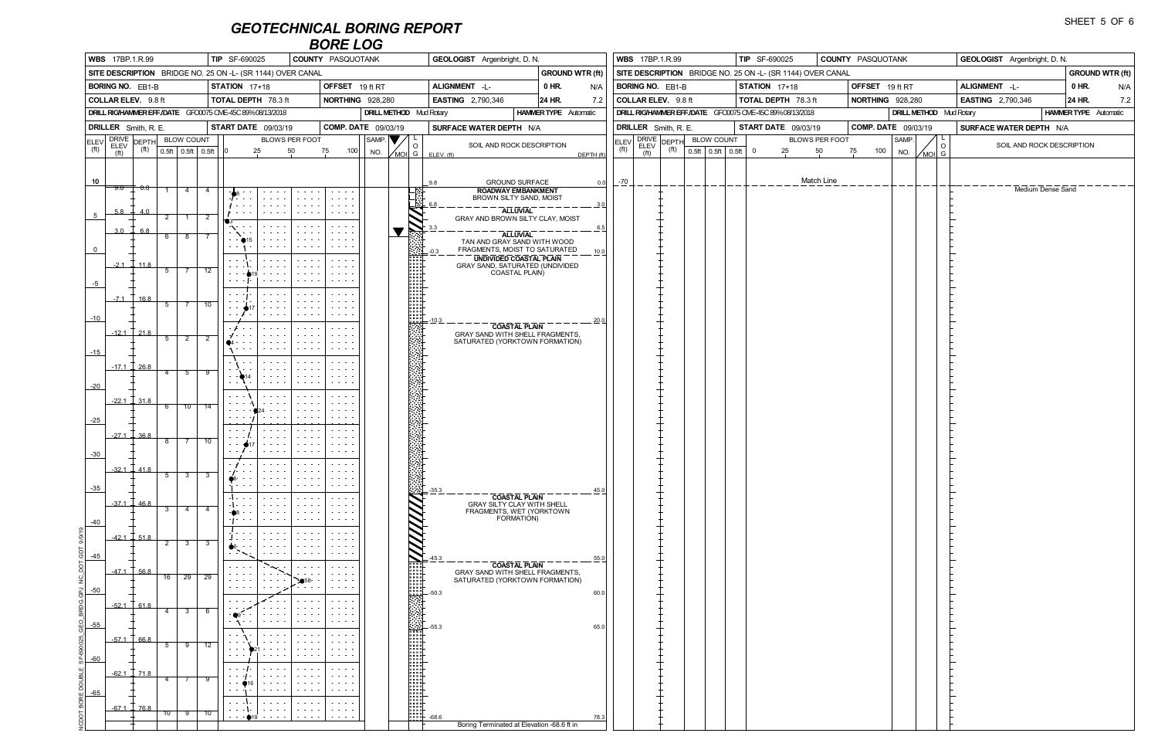|                  |                                                                                                                                                                                              |                      |                  | <b>TIP</b> SF-690025<br><b>COUNTY PASQUOTANK</b> |                |                                                          |                                                                                                                                                                                                                                                         |                                                                                                                                           |                                                                                                                                                                        |                         | <b>GEOLOGIST</b> Argenbright, D. N.<br><b>GROUND WTR (ft)</b>                                                                                                                                                                                                                                                                        |                                  |                                                                 |                |                   |                                                                                                                                                                        | <b>WBS</b> 17BP.1.R.99                |  | <b>TIP</b> SF-690025                                       | COUNTY PASQUOTANK |                            |       |  |                | <b>GEOLOGIST</b> Argenbright, D. N. |                    |       |  |
|------------------|----------------------------------------------------------------------------------------------------------------------------------------------------------------------------------------------|----------------------|------------------|--------------------------------------------------|----------------|----------------------------------------------------------|---------------------------------------------------------------------------------------------------------------------------------------------------------------------------------------------------------------------------------------------------------|-------------------------------------------------------------------------------------------------------------------------------------------|------------------------------------------------------------------------------------------------------------------------------------------------------------------------|-------------------------|--------------------------------------------------------------------------------------------------------------------------------------------------------------------------------------------------------------------------------------------------------------------------------------------------------------------------------------|----------------------------------|-----------------------------------------------------------------|----------------|-------------------|------------------------------------------------------------------------------------------------------------------------------------------------------------------------|---------------------------------------|--|------------------------------------------------------------|-------------------|----------------------------|-------|--|----------------|-------------------------------------|--------------------|-------|--|
|                  | <b>WBS</b> 17BP.1.R.99<br>SITE DESCRIPTION BRIDGE NO. 25 ON -L- (SR 1144) OVER CANAL<br>STATION 17+18<br><b>BORING NO. EB1-B</b><br><b>COLLAR ELEV.</b> 9.8 ft<br><b>TOTAL DEPTH 78.3 ft</b> |                      |                  |                                                  |                |                                                          |                                                                                                                                                                                                                                                         |                                                                                                                                           |                                                                                                                                                                        |                         |                                                                                                                                                                                                                                                                                                                                      |                                  |                                                                 |                |                   |                                                                                                                                                                        |                                       |  | SITE DESCRIPTION BRIDGE NO. 25 ON -L- (SR 1144) OVER CANAL |                   |                            |       |  |                |                                     |                    | GRO   |  |
|                  |                                                                                                                                                                                              |                      |                  |                                                  |                |                                                          |                                                                                                                                                                                                                                                         |                                                                                                                                           |                                                                                                                                                                        | OFFSET 19 ft RT         |                                                                                                                                                                                                                                                                                                                                      | ALIGNMENT -L-                    | 0 HR.                                                           | N/A            |                   | <b>BORING NO. EB1-B</b>                                                                                                                                                |                                       |  | <b>STATION</b> 17+18                                       |                   | OFFSET 19 ft RT            |       |  |                | ALIGNMENT -L-                       |                    | 0 HR  |  |
|                  |                                                                                                                                                                                              |                      |                  |                                                  |                |                                                          |                                                                                                                                                                                                                                                         |                                                                                                                                           |                                                                                                                                                                        | <b>NORTHING 928,280</b> |                                                                                                                                                                                                                                                                                                                                      | <b>EASTING</b> 2,790,346         | 24 HR.                                                          | 7.2            |                   | COLLAR ELEV. 9.8 ft                                                                                                                                                    |                                       |  | <b>TOTAL DEPTH 78.3 ft</b>                                 |                   | <b>NORTHING</b> 928,280    |       |  |                | <b>EASTING</b> 2,790,346            |                    | 24 HR |  |
|                  |                                                                                                                                                                                              |                      |                  |                                                  |                | DRILL RIG/HAMMER EFF./DATE GFC0075 CME-45C 89%08/13/2018 |                                                                                                                                                                                                                                                         |                                                                                                                                           |                                                                                                                                                                        |                         | <b>DRILL METHOD</b> Mud Rotary                                                                                                                                                                                                                                                                                                       |                                  | <b>HAMMER TYPE</b> Automatic                                    |                |                   |                                                                                                                                                                        |                                       |  | DRILL RIG/HAMMER EFF./DATE GFC0075 CME-45C 89%08/13/2018   |                   |                            |       |  |                | <b>DRILL METHOD</b> Mud Rotary      | <b>HAMMER TYPI</b> |       |  |
|                  |                                                                                                                                                                                              | DRILLER Smith, R. E. |                  |                                                  |                | <b>START DATE</b> 09/03/19                               |                                                                                                                                                                                                                                                         |                                                                                                                                           |                                                                                                                                                                        | COMP. DATE 09/03/19     |                                                                                                                                                                                                                                                                                                                                      | SURFACE WATER DEPTH N/A          |                                                                 |                |                   | DRILLER Smith, R. E.                                                                                                                                                   |                                       |  | START DATE 09/03/19                                        |                   | <b>COMP. DATE</b> 09/03/19 |       |  |                | SURFACE WATER DEPTH N/A             |                    |       |  |
|                  |                                                                                                                                                                                              |                      |                  |                                                  |                |                                                          |                                                                                                                                                                                                                                                         | BLOWS PER FOOT                                                                                                                            |                                                                                                                                                                        |                         | $ $ SAMP. $ \blacktriangledown/ $ L<br>$\circ$                                                                                                                                                                                                                                                                                       |                                  | SOIL AND ROCK DESCRIPTION                                       |                |                   | $\left \frac{\text{ELEV}}{\text{fth}}\right $ $\frac{\text{DRIVE}}{\text{ELEV}}$ $\left \frac{\text{DEPTH}}{\text{fth}}\right $ $\frac{\text{BLOW COUNT}}{\text{FCH}}$ |                                       |  |                                                            | BLOWS PER FOOT    |                            | SAMP. |  | $\circ$        | SOIL AND ROCK DESCRIPTIO            |                    |       |  |
| $({\sf ft})$     | (f <sup>t</sup> )                                                                                                                                                                            | (f <sup>t</sup> )    |                  | $\vert 0.5ft \vert 0.5ft \vert 0.5ft \vert$      |                | $\overline{0}$                                           | 25                                                                                                                                                                                                                                                      | 50                                                                                                                                        | 75                                                                                                                                                                     | 100<br>NO.              |                                                                                                                                                                                                                                                                                                                                      | $\sqrt{MOL}$ G ELEV. (ft)        |                                                                 | DEPTH (ft)     | (f <sup>t</sup> ) | (f <sup>t</sup> )                                                                                                                                                      | $(t)$ $\boxed{0.5ft}$ $0.5ft$ $0.5ft$ |  | $\overline{0}$<br>25                                       | 50                | 100<br>75                  | NO.   |  | $\sqrt{MOL}$ G |                                     |                    |       |  |
|                  |                                                                                                                                                                                              |                      |                  |                                                  |                |                                                          |                                                                                                                                                                                                                                                         |                                                                                                                                           |                                                                                                                                                                        |                         |                                                                                                                                                                                                                                                                                                                                      |                                  |                                                                 |                |                   |                                                                                                                                                                        |                                       |  |                                                            |                   |                            |       |  |                |                                     |                    |       |  |
| 10 <sup>10</sup> |                                                                                                                                                                                              | $-9.8$ $-7$ 0.0      |                  |                                                  |                |                                                          |                                                                                                                                                                                                                                                         |                                                                                                                                           |                                                                                                                                                                        |                         |                                                                                                                                                                                                                                                                                                                                      | 9.8                              | <b>GROUND SURFACE</b>                                           | 0.0            | $-70$             |                                                                                                                                                                        |                                       |  |                                                            | Match Line        |                            |       |  |                |                                     | Medium Dense Sand  |       |  |
|                  |                                                                                                                                                                                              |                      | $\overline{1}$   | $\overline{4}$                                   | -4             |                                                          | $\begin{array}{cccccccccc} \bullet & \bullet & \bullet & \bullet & \bullet & \bullet \end{array}$<br>$\cdot$ $\cdot$ $\cdot$ $\cdot$                                                                                                                    | $\mathbf{z}$ , and $\mathbf{z}$ , and $\mathbf{z}$<br>$\sim$ $\sim$ $\sim$ $\sim$                                                         | $\mathcal{L}^{\mathcal{A}}$ , and $\mathcal{L}^{\mathcal{A}}$ , and<br>$\omega$ , $\omega$ , $\omega$ , $\omega$ , $\omega$                                            |                         | <u> :1</u>                                                                                                                                                                                                                                                                                                                           |                                  | <b>ROADWAY EMBANKMENT</b><br>BROWN SILTY SAND, MOIST            |                |                   |                                                                                                                                                                        |                                       |  |                                                            |                   |                            |       |  |                |                                     |                    |       |  |
| $5\overline{)}$  | 5.8                                                                                                                                                                                          | 4.0                  | $\overline{2}$   |                                                  | $\overline{2}$ |                                                          | $\sim$ 100 $\sim$ 100 $\sim$                                                                                                                                                                                                                            |                                                                                                                                           | <b>Service Control</b>                                                                                                                                                 |                         |                                                                                                                                                                                                                                                                                                                                      | 6.8                              | <b>ALLUVIAL</b>                                                 |                |                   |                                                                                                                                                                        |                                       |  |                                                            |                   |                            |       |  |                |                                     |                    |       |  |
|                  | 3.0                                                                                                                                                                                          | 6.8                  |                  |                                                  |                |                                                          | $\sim$ 100 $\sim$ 100 $\sim$                                                                                                                                                                                                                            |                                                                                                                                           | $\sigma_{\rm{eff}}$ , $\sigma_{\rm{eff}}$ , $\sigma_{\rm{eff}}$                                                                                                        |                         | $\blacksquare$                                                                                                                                                                                                                                                                                                                       | GRAY AND BROWN SILTY CLAY, MOIST |                                                                 | <u>___ 6.5</u> |                   |                                                                                                                                                                        |                                       |  |                                                            |                   |                            |       |  |                |                                     |                    |       |  |
|                  |                                                                                                                                                                                              |                      |                  | $6 \mid 8$                                       |                |                                                          |                                                                                                                                                                                                                                                         |                                                                                                                                           | $\omega$ , $\omega$ , $\omega$ , $\omega$ ,<br>$\begin{array}{cccccccccccccc} \bullet & \bullet & \bullet & \bullet & \bullet & \bullet & \bullet \end{array}$         |                         | िले                                                                                                                                                                                                                                                                                                                                  |                                  | <b>ALLUVIAL</b><br>TAN AND GRAY SAND WITH WOOD                  |                |                   |                                                                                                                                                                        |                                       |  |                                                            |                   |                            |       |  |                |                                     |                    |       |  |
| $\overline{0}$   |                                                                                                                                                                                              |                      |                  |                                                  |                |                                                          |                                                                                                                                                                                                                                                         |                                                                                                                                           | <b>Service State</b>                                                                                                                                                   |                         |                                                                                                                                                                                                                                                                                                                                      | $-0.3$                           | FRAGMENTS, MOIST TO SATURATED<br><b>UNDIVIDED COASTAL PLAIN</b> | $-10.0$        |                   |                                                                                                                                                                        |                                       |  |                                                            |                   |                            |       |  |                |                                     |                    |       |  |
|                  | $-2.1$                                                                                                                                                                                       | 11.8                 | $5^{\circ}$      | $\begin{array}{ccc} \end{array}$                 | 12             |                                                          | $\mathbf{z}=\mathbf{z}=\mathbf{z}=\mathbf{z}$                                                                                                                                                                                                           | $\begin{array}{cccccccccc} \bullet & \bullet & \bullet & \bullet & \bullet & \bullet \end{array}$                                         | $\mathbf{z}=\mathbf{z}=\mathbf{z}=\mathbf{z}$<br>$\cdots$                                                                                                              |                         |                                                                                                                                                                                                                                                                                                                                      |                                  | GRAY SAND, SATURATED (UNDIVIDED                                 |                |                   |                                                                                                                                                                        |                                       |  |                                                            |                   |                            |       |  |                |                                     |                    |       |  |
| $-5$             |                                                                                                                                                                                              |                      |                  |                                                  |                |                                                          |                                                                                                                                                                                                                                                         |                                                                                                                                           | <b>State State</b>                                                                                                                                                     |                         |                                                                                                                                                                                                                                                                                                                                      |                                  | COASTAL PLAIN)                                                  |                |                   |                                                                                                                                                                        |                                       |  |                                                            |                   |                            |       |  |                |                                     |                    |       |  |
|                  | $-7.1$                                                                                                                                                                                       | 16.8                 |                  |                                                  |                | $\sim$ $ \sim$                                           | $\mathbf{u} = \mathbf{u} + \mathbf{u} + \mathbf{u}$                                                                                                                                                                                                     | $\begin{array}{cccccccccccccc} \bullet & \bullet & \bullet & \bullet & \bullet & \bullet \end{array}$                                     | $\sim$ $\sim$ $\sim$ $\sim$<br>$\cdots$                                                                                                                                |                         |                                                                                                                                                                                                                                                                                                                                      |                                  |                                                                 |                |                   |                                                                                                                                                                        |                                       |  |                                                            |                   |                            |       |  |                |                                     |                    |       |  |
|                  |                                                                                                                                                                                              |                      | $\overline{5}$ . | $\begin{array}{ccc} \end{array}$                 | 10             |                                                          |                                                                                                                                                                                                                                                         |                                                                                                                                           | <b>Service Control</b>                                                                                                                                                 |                         | 888<br>888<br>888<br>888                                                                                                                                                                                                                                                                                                             |                                  |                                                                 |                |                   |                                                                                                                                                                        |                                       |  |                                                            |                   |                            |       |  |                |                                     |                    |       |  |
| $-10$            |                                                                                                                                                                                              |                      |                  |                                                  |                | .                                                        | $\mathbf{z}=\mathbf{z}=\mathbf{z}=\mathbf{z}$                                                                                                                                                                                                           | $\begin{array}{cccccccccc} \bullet & \bullet & \bullet & \bullet & \bullet & \bullet \end{array}$                                         | $\sim$ 100 $\sim$ 100 $\sim$                                                                                                                                           |                         |                                                                                                                                                                                                                                                                                                                                      | $-10.3$                          | <b>COASTAL PLAIN</b>                                            | . 20.0         |                   |                                                                                                                                                                        |                                       |  |                                                            |                   |                            |       |  |                |                                     |                    |       |  |
|                  |                                                                                                                                                                                              | $-12.1$ 21.8         |                  | $5 \mid 2$                                       | 2              |                                                          | $\cdot$ $\cdot$ $\cdot$ $\cdot$                                                                                                                                                                                                                         |                                                                                                                                           | $\cdots$                                                                                                                                                               |                         |                                                                                                                                                                                                                                                                                                                                      | SATURATED (YORKTOWN FORMATION)   | GRAY SAND WITH SHELL FRAGMENTS,                                 |                |                   |                                                                                                                                                                        |                                       |  |                                                            |                   |                            |       |  |                |                                     |                    |       |  |
| $-15$            |                                                                                                                                                                                              |                      |                  |                                                  |                |                                                          |                                                                                                                                                                                                                                                         |                                                                                                                                           | <b>Contract Contract</b>                                                                                                                                               |                         |                                                                                                                                                                                                                                                                                                                                      |                                  |                                                                 |                |                   |                                                                                                                                                                        |                                       |  |                                                            |                   |                            |       |  |                |                                     |                    |       |  |
|                  | $-17.1$                                                                                                                                                                                      | $-26.8$              |                  |                                                  |                |                                                          | $\mathbf{z} = \mathbf{z} + \mathbf{z}$ .                                                                                                                                                                                                                |                                                                                                                                           | $\sim$ $\sim$ $\sim$ $\sim$<br>.                                                                                                                                       |                         |                                                                                                                                                                                                                                                                                                                                      |                                  |                                                                 |                |                   |                                                                                                                                                                        |                                       |  |                                                            |                   |                            |       |  |                |                                     |                    |       |  |
|                  |                                                                                                                                                                                              |                      | $\overline{4}$   | $-5$                                             | - 9            |                                                          |                                                                                                                                                                                                                                                         |                                                                                                                                           | <b>State State</b>                                                                                                                                                     |                         |                                                                                                                                                                                                                                                                                                                                      |                                  |                                                                 |                |                   |                                                                                                                                                                        |                                       |  |                                                            |                   |                            |       |  |                |                                     |                    |       |  |
| $-20$            |                                                                                                                                                                                              |                      |                  |                                                  |                | $\mathbf{L} = \mathbf{L} \times \mathbf{L}$              | $\sim$ $\sim$ $\sim$ $\sim$                                                                                                                                                                                                                             |                                                                                                                                           | $\sim$ $\sim$ $\sim$ $\sim$                                                                                                                                            |                         |                                                                                                                                                                                                                                                                                                                                      |                                  |                                                                 |                |                   |                                                                                                                                                                        |                                       |  |                                                            |                   |                            |       |  |                |                                     |                    |       |  |
|                  |                                                                                                                                                                                              | $-22.1 \pm 31.8$     |                  | $6$ 10 14                                        |                |                                                          |                                                                                                                                                                                                                                                         |                                                                                                                                           |                                                                                                                                                                        |                         |                                                                                                                                                                                                                                                                                                                                      |                                  |                                                                 |                |                   |                                                                                                                                                                        |                                       |  |                                                            |                   |                            |       |  |                |                                     |                    |       |  |
| $-25$            |                                                                                                                                                                                              |                      |                  |                                                  |                |                                                          |                                                                                                                                                                                                                                                         |                                                                                                                                           |                                                                                                                                                                        |                         |                                                                                                                                                                                                                                                                                                                                      |                                  |                                                                 |                |                   |                                                                                                                                                                        |                                       |  |                                                            |                   |                            |       |  |                |                                     |                    |       |  |
|                  | $-27.1$                                                                                                                                                                                      | 36.8                 |                  |                                                  |                |                                                          | $\frac{1}{2} \left( \frac{1}{2} \left( \frac{1}{2} \left( \frac{1}{2} \right) - \frac{1}{2} \left( \frac{1}{2} \right) \right) \right)$                                                                                                                 |                                                                                                                                           | $\sim$ $\sim$ $\sim$ $\sim$<br>$\sim$ $\sim$ $\sim$                                                                                                                    |                         |                                                                                                                                                                                                                                                                                                                                      |                                  |                                                                 |                |                   |                                                                                                                                                                        |                                       |  |                                                            |                   |                            |       |  |                |                                     |                    |       |  |
|                  |                                                                                                                                                                                              |                      |                  | $8 \mid 7$                                       | $-10$          |                                                          | $\mathcal{L}^{\mathcal{A}}$ , and $\mathcal{L}^{\mathcal{A}}$ , and $\mathcal{L}^{\mathcal{A}}$                                                                                                                                                         |                                                                                                                                           | <b>State State</b>                                                                                                                                                     |                         |                                                                                                                                                                                                                                                                                                                                      |                                  |                                                                 |                |                   |                                                                                                                                                                        |                                       |  |                                                            |                   |                            |       |  |                |                                     |                    |       |  |
| $-30$            |                                                                                                                                                                                              |                      |                  |                                                  |                | $\cdot$ / $\cdot$ $\cdot$                                | $\sim$ 100 $\sim$ 100 $\sim$                                                                                                                                                                                                                            | $\sim$ 100 $\sim$ 100 $\sim$                                                                                                              | $\mathcal{A}=\mathcal{A}=\mathcal{A}=\mathcal{A}$                                                                                                                      |                         |                                                                                                                                                                                                                                                                                                                                      |                                  |                                                                 |                |                   |                                                                                                                                                                        |                                       |  |                                                            |                   |                            |       |  |                |                                     |                    |       |  |
|                  |                                                                                                                                                                                              | $-32.1 + 41.8$       |                  | $5 \mid 3 \mid 3$                                |                | $\cdot$ / $\cdot$ $\cdot$ $\cdot$                        | $\mathcal{A}=\mathcal{A}=\mathcal{A}=\mathcal{A}$ .                                                                                                                                                                                                     | $\mathbf{u} = \mathbf{u} + \mathbf{u} + \mathbf{u}$ .                                                                                     | $\mathcal{L}=\mathcal{L}=\mathcal{L}=\mathcal{L}$ .                                                                                                                    |                         |                                                                                                                                                                                                                                                                                                                                      |                                  |                                                                 |                |                   |                                                                                                                                                                        |                                       |  |                                                            |                   |                            |       |  |                |                                     |                    |       |  |
| $-35$            |                                                                                                                                                                                              |                      |                  |                                                  |                |                                                          |                                                                                                                                                                                                                                                         |                                                                                                                                           | <b>Service Control</b>                                                                                                                                                 |                         |                                                                                                                                                                                                                                                                                                                                      |                                  | <b>COASTAL PLAIN</b>                                            | $  45.0$       |                   |                                                                                                                                                                        |                                       |  |                                                            |                   |                            |       |  |                |                                     |                    |       |  |
|                  | $-37.1$                                                                                                                                                                                      | 46.8                 |                  | $3 \mid 4$                                       | $\overline{4}$ |                                                          | $\sim$ 100 $\sim$ 100 $\sim$<br>$\begin{array}{cccccccccccccc} \bullet & \bullet & \bullet & \bullet & \bullet & \bullet & \bullet \end{array}$                                                                                                         | $\begin{array}{cccccccccccccc} \bullet & \bullet & \bullet & \bullet & \bullet & \bullet \end{array}$<br>$\sim$ $ \sim$                   | $\begin{array}{cccccccccccccc} \bullet & \bullet & \bullet & \bullet & \bullet & \bullet & \bullet \end{array}$<br>$\mathbf{u} = \mathbf{u} + \mathbf{u} + \mathbf{u}$ |                         |                                                                                                                                                                                                                                                                                                                                      |                                  | <b>GRAY SILTY CLAY WITH SHELL</b>                               |                |                   |                                                                                                                                                                        |                                       |  |                                                            |                   |                            |       |  |                |                                     |                    |       |  |
| $-40$            |                                                                                                                                                                                              |                      |                  |                                                  |                | -●8                                                      | $\cdots$<br><b>Service Control</b>                                                                                                                                                                                                                      | $\begin{array}{cccccccccccccc} \bullet & \bullet & \bullet & \bullet & \bullet & \bullet & \bullet \end{array}$<br><b>Service Control</b> | $\cdots$<br><b>Service Control</b>                                                                                                                                     |                         |                                                                                                                                                                                                                                                                                                                                      |                                  | FRAGMENTS, WET (YORKTOWN<br>FORMATION)                          |                |                   |                                                                                                                                                                        |                                       |  |                                                            |                   |                            |       |  |                |                                     |                    |       |  |
|                  | $-42.1$                                                                                                                                                                                      | 51.8                 |                  |                                                  |                |                                                          | $\frac{1}{2} \left( \frac{1}{2} \left( \frac{1}{2} \left( \frac{1}{2} \right) - \frac{1}{2} \left( \frac{1}{2} \right) \right) \right)$<br>$\frac{1}{2} \left( \frac{1}{2} \left( \frac{1}{2} \right) - \frac{1}{2} \left( \frac{1}{2} \right) \right)$ | $\cdots$                                                                                                                                  | $\sim$ 100 $\sim$ 100 $\sim$<br>$\sim$ $\sim$ $\sim$ $\sim$                                                                                                            |                         |                                                                                                                                                                                                                                                                                                                                      |                                  |                                                                 |                |                   |                                                                                                                                                                        |                                       |  |                                                            |                   |                            |       |  |                |                                     |                    |       |  |
|                  |                                                                                                                                                                                              |                      | $\overline{2}$   | $\sqrt{3}$                                       | 3              | 6 <sup>6</sup>                                           |                                                                                                                                                                                                                                                         | $\cdots$<br><b>Service Control</b>                                                                                                        | $\cdots$<br><b>Service State</b>                                                                                                                                       |                         |                                                                                                                                                                                                                                                                                                                                      |                                  |                                                                 |                |                   |                                                                                                                                                                        |                                       |  |                                                            |                   |                            |       |  |                |                                     |                    |       |  |
| $-45$            |                                                                                                                                                                                              |                      |                  |                                                  |                |                                                          |                                                                                                                                                                                                                                                         |                                                                                                                                           | $\begin{array}{cccccccccccccc} \bullet & \bullet & \bullet & \bullet & \bullet & \bullet & \bullet \end{array}$                                                        |                         | .                                                                                                                                                                                                                                                                                                                                    |                                  | <b>COASTAL PLAIN</b>                                            | $-55.0$        |                   |                                                                                                                                                                        |                                       |  |                                                            |                   |                            |       |  |                |                                     |                    |       |  |
|                  | $-47.1$                                                                                                                                                                                      | 56.8                 |                  | $16$ $\overline{\smash{)}\ 29}$                  | - 29           | $\sim$ $ \sim$<br>$\cdots$                               |                                                                                                                                                                                                                                                         | 36.58                                                                                                                                     | $\begin{array}{cccccccccccccc} \bullet & \bullet & \bullet & \bullet & \bullet & \bullet \end{array}$<br>$\cdots$                                                      |                         | <br><br>: : :                                                                                                                                                                                                                                                                                                                        | SATURATED (YORKTOWN FORMATION)   | GRAY SAND WITH SHELL FRAGMENTS,                                 |                |                   |                                                                                                                                                                        |                                       |  |                                                            |                   |                            |       |  |                |                                     |                    |       |  |
| $-50$            |                                                                                                                                                                                              |                      |                  |                                                  |                | <b>Contract Contract</b>                                 | <b>Service</b> State                                                                                                                                                                                                                                    |                                                                                                                                           | <b>Service Control</b>                                                                                                                                                 |                         | .<br>∺:                                                                                                                                                                                                                                                                                                                              | - -50.3                          |                                                                 | 60.0           |                   |                                                                                                                                                                        |                                       |  |                                                            |                   |                            |       |  |                |                                     |                    |       |  |
|                  |                                                                                                                                                                                              | $-52.1$ $\pm$ 61.8   |                  |                                                  |                |                                                          |                                                                                                                                                                                                                                                         | $\cdots$                                                                                                                                  | $\sim$ $\sim$ $\sim$ $\sim$<br>$\sim$ $\sim$ $\sim$ $\sim$                                                                                                             |                         |                                                                                                                                                                                                                                                                                                                                      |                                  |                                                                 |                |                   |                                                                                                                                                                        |                                       |  |                                                            |                   |                            |       |  |                |                                     |                    |       |  |
|                  |                                                                                                                                                                                              |                      | $\overline{4}$   | $\overline{\phantom{a}3}$                        | - 6            |                                                          |                                                                                                                                                                                                                                                         | $\cdots$<br><b>Service Control</b>                                                                                                        | $\cdots$<br><b>Service State</b>                                                                                                                                       |                         |                                                                                                                                                                                                                                                                                                                                      |                                  |                                                                 |                |                   |                                                                                                                                                                        |                                       |  |                                                            |                   |                            |       |  |                |                                     |                    |       |  |
| $-55$            |                                                                                                                                                                                              |                      |                  |                                                  |                |                                                          |                                                                                                                                                                                                                                                         |                                                                                                                                           | $\sim$ 100 $\sim$ 100 $\sim$                                                                                                                                           |                         | <u>es</u>                                                                                                                                                                                                                                                                                                                            | $-55.3$                          |                                                                 | 65.0           |                   |                                                                                                                                                                        |                                       |  |                                                            |                   |                            |       |  |                |                                     |                    |       |  |
|                  | $-57.1$                                                                                                                                                                                      | 66.8                 | 5                | 9                                                | 12             |                                                          |                                                                                                                                                                                                                                                         |                                                                                                                                           | .                                                                                                                                                                      |                         | $\begin{bmatrix} 0 & 0 & 0 \\ 0 & 0 & 0 \\ 0 & 0 & 0 \\ 0 & 0 & 0 \\ 0 & 0 & 0 \\ 0 & 0 & 0 \\ 0 & 0 & 0 \\ 0 & 0 & 0 \\ 0 & 0 & 0 \\ 0 & 0 & 0 \\ 0 & 0 & 0 \\ 0 & 0 & 0 \\ 0 & 0 & 0 \\ 0 & 0 & 0 \\ 0 & 0 & 0 \\ 0 & 0 & 0 \\ 0 & 0 & 0 \\ 0 & 0 & 0 \\ 0 & 0 & 0 & 0 \\ 0 & 0 & 0 & 0 \\ 0 & 0 & 0 & 0 \\ 0 & 0 & 0 & 0 \\ 0 & $ |                                  |                                                                 |                |                   |                                                                                                                                                                        |                                       |  |                                                            |                   |                            |       |  |                |                                     |                    |       |  |
| $-60$            |                                                                                                                                                                                              |                      |                  |                                                  |                |                                                          |                                                                                                                                                                                                                                                         | <b>Service Control</b>                                                                                                                    | <b>Service Control</b>                                                                                                                                                 |                         |                                                                                                                                                                                                                                                                                                                                      |                                  |                                                                 |                |                   |                                                                                                                                                                        |                                       |  |                                                            |                   |                            |       |  |                |                                     |                    |       |  |
|                  |                                                                                                                                                                                              | $-62.1 \pm 71.8$     | 4                |                                                  |                |                                                          | $\cdots$                                                                                                                                                                                                                                                |                                                                                                                                           | $\sim$ $\sim$ $\sim$ $\sim$<br>$\cdots$ .                                                                                                                              |                         |                                                                                                                                                                                                                                                                                                                                      |                                  |                                                                 |                |                   |                                                                                                                                                                        |                                       |  |                                                            |                   |                            |       |  |                |                                     |                    |       |  |
| $-65$            |                                                                                                                                                                                              |                      |                  |                                                  |                |                                                          |                                                                                                                                                                                                                                                         | $\cdots$                                                                                                                                  | $\cdots$<br><b>Service Control</b>                                                                                                                                     |                         |                                                                                                                                                                                                                                                                                                                                      |                                  |                                                                 |                |                   |                                                                                                                                                                        |                                       |  |                                                            |                   |                            |       |  |                |                                     |                    |       |  |
|                  |                                                                                                                                                                                              | $-67.1$ $+ 76.8$     |                  |                                                  |                |                                                          | $\sim$ $\sim$ $\sim$ $\sim$<br>$\sim$ $\sim$ $\sim$ $\sim$ $\sim$                                                                                                                                                                                       | $\cdots$                                                                                                                                  | $\sim$ $\sim$ $\sim$ $\sim$<br>$\mathbf{u} = \mathbf{u} + \mathbf{u} + \mathbf{u}$                                                                                     |                         | .                                                                                                                                                                                                                                                                                                                                    |                                  |                                                                 |                |                   |                                                                                                                                                                        |                                       |  |                                                            |                   |                            |       |  |                |                                     |                    |       |  |
|                  |                                                                                                                                                                                              |                      |                  | $10$ $9$                                         | 10             | $\sim$ $\sim$                                            | $\sim$ 100 $\sim$ 100 $\sim$                                                                                                                                                                                                                            | $\cdots$                                                                                                                                  | .                                                                                                                                                                      |                         | .                                                                                                                                                                                                                                                                                                                                    | $-68.6$                          |                                                                 | 78.3           |                   |                                                                                                                                                                        |                                       |  |                                                            |                   |                            |       |  |                |                                     |                    |       |  |
|                  |                                                                                                                                                                                              |                      |                  |                                                  |                |                                                          |                                                                                                                                                                                                                                                         |                                                                                                                                           |                                                                                                                                                                        |                         |                                                                                                                                                                                                                                                                                                                                      |                                  | Boring Terminated at Elevation -68.6 ft in                      |                |                   |                                                                                                                                                                        |                                       |  |                                                            |                   |                            |       |  |                |                                     |                    |       |  |

### SHEET 5 OF 6

|                   | <b>WBS</b> 17BP.1.R.99     |                   |                   |                     |             | TIP SF-690025        |                                                          |                                                            | <b>COUNTY PASQUOTANK</b>   |     |       |                    |        | GEOLOGIST Argenbright, D. N.   |        |                              |
|-------------------|----------------------------|-------------------|-------------------|---------------------|-------------|----------------------|----------------------------------------------------------|------------------------------------------------------------|----------------------------|-----|-------|--------------------|--------|--------------------------------|--------|------------------------------|
|                   |                            |                   |                   |                     |             |                      |                                                          | SITE DESCRIPTION BRIDGE NO. 25 ON -L- (SR 1144) OVER CANAL |                            |     |       |                    |        |                                |        | <b>GROUND WTR (ft)</b>       |
|                   | <b>BORING NO. EB1-B</b>    |                   |                   |                     |             | <b>STATION</b> 17+18 |                                                          |                                                            | OFFSET 19 ft RT            |     |       |                    |        | ALIGNMENT -L-                  | 0 HR.  | N/A                          |
|                   | <b>COLLAR ELEV.</b> 9.8 ft |                   |                   |                     |             |                      | TOTAL DEPTH 78.3 ft                                      |                                                            | <b>NORTHING</b> 928,280    |     |       |                    |        | <b>EASTING</b> 2,790,346       | 24 HR. | 7.2                          |
|                   |                            |                   |                   |                     |             |                      | DRILL RIG/HAMMER EFF./DATE GFC0075 CME-45C 89%08/13/2018 |                                                            |                            |     |       |                    |        | <b>DRILL METHOD</b> Mud Rotary |        | <b>HAMMER TYPE</b> Automatic |
|                   | DRILLER Smith, R. E.       |                   |                   |                     |             |                      | <b>START DATE</b> 09/03/19                               |                                                            | <b>COMP. DATE</b> 09/03/19 |     |       |                    |        | SURFACE WATER DEPTH N/A        |        |                              |
| <b>ELEV</b>       | DRIVE DEPTH                |                   | <b>BLOW COUNT</b> |                     |             |                      |                                                          | BLOWS PER FOOT                                             |                            |     | SAMP. |                    | L      |                                |        |                              |
| (f <sup>t</sup> ) | (f <sup>t</sup> )          | (f <sup>t</sup> ) |                   | $0.5ft$ 0.5ft 0.5ft | $\mathbf 0$ | $^{25}$              |                                                          | $\frac{50}{1}$                                             | 75                         | 100 | NO.   | $M$ <sub>MOI</sub> | O<br>G | SOIL AND ROCK DESCRIPTION      |        |                              |
|                   |                            |                   |                   |                     |             |                      |                                                          |                                                            |                            |     |       |                    |        |                                |        |                              |
| $-70$ .           |                            |                   |                   |                     |             |                      |                                                          | Match Line                                                 |                            |     |       |                    |        |                                |        |                              |
|                   |                            |                   |                   |                     |             |                      |                                                          |                                                            |                            |     |       |                    |        | Medium Dense Sand              |        |                              |
|                   |                            |                   |                   |                     |             |                      |                                                          |                                                            |                            |     |       |                    |        |                                |        |                              |
|                   |                            |                   |                   |                     |             |                      |                                                          |                                                            |                            |     |       |                    |        |                                |        |                              |
|                   |                            |                   |                   |                     |             |                      |                                                          |                                                            |                            |     |       |                    |        |                                |        |                              |
|                   |                            |                   |                   |                     |             |                      |                                                          |                                                            |                            |     |       |                    |        |                                |        |                              |
|                   |                            |                   |                   |                     |             |                      |                                                          |                                                            |                            |     |       |                    |        |                                |        |                              |
|                   |                            |                   |                   |                     |             |                      |                                                          |                                                            |                            |     |       |                    |        |                                |        |                              |
|                   |                            |                   |                   |                     |             |                      |                                                          |                                                            |                            |     |       |                    |        |                                |        |                              |
|                   |                            |                   |                   |                     |             |                      |                                                          |                                                            |                            |     |       |                    |        |                                |        |                              |
|                   |                            |                   |                   |                     |             |                      |                                                          |                                                            |                            |     |       |                    |        |                                |        |                              |
|                   |                            |                   |                   |                     |             |                      |                                                          |                                                            |                            |     |       |                    |        |                                |        |                              |
|                   |                            |                   |                   |                     |             |                      |                                                          |                                                            |                            |     |       |                    |        |                                |        |                              |
|                   |                            |                   |                   |                     |             |                      |                                                          |                                                            |                            |     |       |                    |        |                                |        |                              |
|                   |                            |                   |                   |                     |             |                      |                                                          |                                                            |                            |     |       |                    |        |                                |        |                              |
|                   |                            |                   |                   |                     |             |                      |                                                          |                                                            |                            |     |       |                    |        |                                |        |                              |
|                   |                            |                   |                   |                     |             |                      |                                                          |                                                            |                            |     |       |                    |        |                                |        |                              |
|                   |                            |                   |                   |                     |             |                      |                                                          |                                                            |                            |     |       |                    |        |                                |        |                              |
|                   |                            |                   |                   |                     |             |                      |                                                          |                                                            |                            |     |       |                    |        |                                |        |                              |
|                   |                            |                   |                   |                     |             |                      |                                                          |                                                            |                            |     |       |                    |        |                                |        |                              |
|                   |                            |                   |                   |                     |             |                      |                                                          |                                                            |                            |     |       |                    |        |                                |        |                              |
|                   |                            |                   |                   |                     |             |                      |                                                          |                                                            |                            |     |       |                    |        |                                |        |                              |
|                   |                            |                   |                   |                     |             |                      |                                                          |                                                            |                            |     |       |                    |        |                                |        |                              |
|                   |                            |                   |                   |                     |             |                      |                                                          |                                                            |                            |     |       |                    |        |                                |        |                              |
|                   |                            |                   |                   |                     |             |                      |                                                          |                                                            |                            |     |       |                    |        |                                |        |                              |
|                   |                            |                   |                   |                     |             |                      |                                                          |                                                            |                            |     |       |                    |        |                                |        |                              |
|                   |                            |                   |                   |                     |             |                      |                                                          |                                                            |                            |     |       |                    |        |                                |        |                              |
|                   |                            |                   |                   |                     |             |                      |                                                          |                                                            |                            |     |       |                    |        |                                |        |                              |
|                   |                            |                   |                   |                     |             |                      |                                                          |                                                            |                            |     |       |                    |        |                                |        |                              |
|                   |                            |                   |                   |                     |             |                      |                                                          |                                                            |                            |     |       |                    |        |                                |        |                              |
|                   |                            |                   |                   |                     |             |                      |                                                          |                                                            |                            |     |       |                    |        |                                |        |                              |
|                   |                            |                   |                   |                     |             |                      |                                                          |                                                            |                            |     |       |                    |        |                                |        |                              |
|                   |                            |                   |                   |                     |             |                      |                                                          |                                                            |                            |     |       |                    |        |                                |        |                              |
|                   |                            |                   |                   |                     |             |                      |                                                          |                                                            |                            |     |       |                    |        |                                |        |                              |
|                   |                            |                   |                   |                     |             |                      |                                                          |                                                            |                            |     |       |                    |        |                                |        |                              |
|                   |                            |                   |                   |                     |             |                      |                                                          |                                                            |                            |     |       |                    |        |                                |        |                              |
|                   |                            |                   |                   |                     |             |                      |                                                          |                                                            |                            |     |       |                    |        |                                |        |                              |
|                   |                            |                   |                   |                     |             |                      |                                                          |                                                            |                            |     |       |                    |        |                                |        |                              |
|                   |                            |                   |                   |                     |             |                      |                                                          |                                                            |                            |     |       |                    |        |                                |        |                              |
|                   |                            |                   |                   |                     |             |                      |                                                          |                                                            |                            |     |       |                    |        |                                |        |                              |
|                   |                            |                   |                   |                     |             |                      |                                                          |                                                            |                            |     |       |                    |        |                                |        |                              |
|                   |                            |                   |                   |                     |             |                      |                                                          |                                                            |                            |     |       |                    |        |                                |        |                              |
|                   |                            |                   |                   |                     |             |                      |                                                          |                                                            |                            |     |       |                    |        |                                |        |                              |
|                   |                            |                   |                   |                     |             |                      |                                                          |                                                            |                            |     |       |                    |        |                                |        |                              |

## *BORE LOG GEOTECHNICAL BORING REPORT*